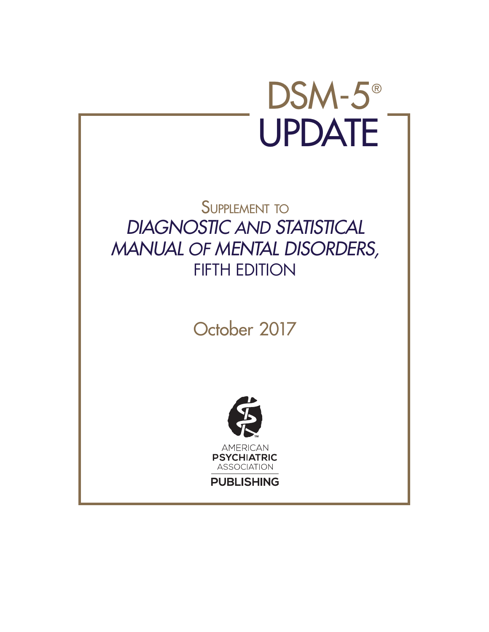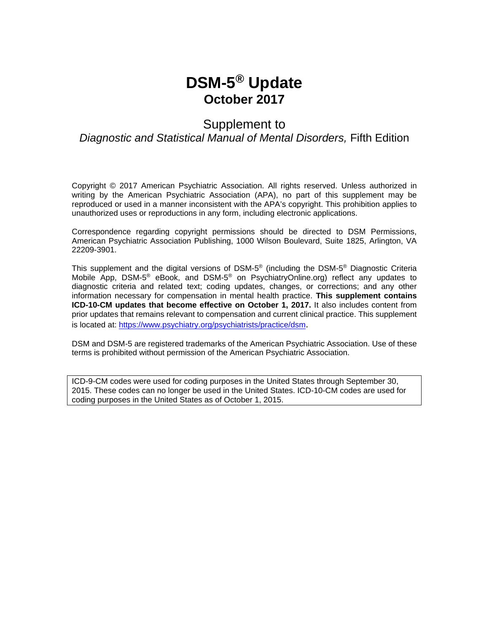# **DSM-5® Update October 2017**

## Supplement to

*Diagnostic and Statistical Manual of Mental Disorders,* Fifth Edition

Copyright © 2017 American Psychiatric Association. All rights reserved. Unless authorized in writing by the American Psychiatric Association (APA), no part of this supplement may be reproduced or used in a manner inconsistent with the APA's copyright. This prohibition applies to unauthorized uses or reproductions in any form, including electronic applications.

Correspondence regarding copyright permissions should be directed to DSM Permissions, American Psychiatric Association Publishing, 1000 Wilson Boulevard, Suite 1825, Arlington, VA 22209-3901.

This supplement and the digital versions of DSM-5® (including the DSM-5® Diagnostic Criteria Mobile App, DSM-5® eBook, and DSM-5® on PsychiatryOnline.org) reflect any updates to diagnostic criteria and related text; coding updates, changes, or corrections; and any other information necessary for compensation in mental health practice. **This supplement contains ICD-10-CM updates that become effective on October 1, 2017.** It also includes content from prior updates that remains relevant to compensation and current clinical practice. This supplement is located at: https://www.psychiatry.org/psychiatrists/practice/dsm.

DSM and DSM-5 are registered trademarks of the American Psychiatric Association. Use of these terms is prohibited without permission of the American Psychiatric Association.

ICD-9-CM codes were used for coding purposes in the United States through September 30, 2015. These codes can no longer be used in the United States. ICD-10-CM codes are used for coding purposes in the United States as of October 1, 2015.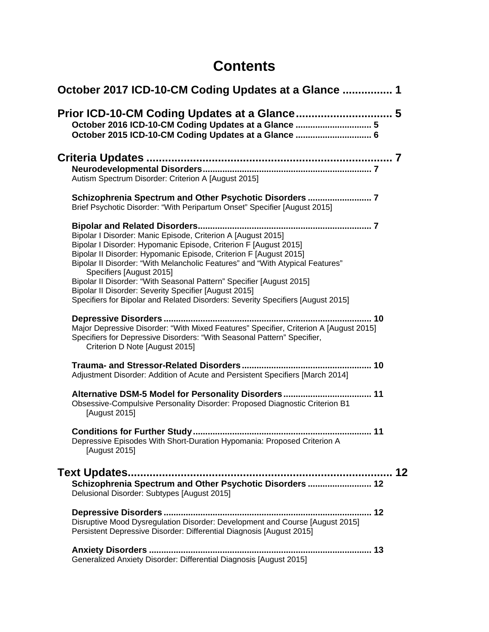# **Contents**

| October 2017 ICD-10-CM Coding Updates at a Glance  1                                                                                                                                                                                                                                                                                                                                                                                                                                                                                   |  |
|----------------------------------------------------------------------------------------------------------------------------------------------------------------------------------------------------------------------------------------------------------------------------------------------------------------------------------------------------------------------------------------------------------------------------------------------------------------------------------------------------------------------------------------|--|
| October 2016 ICD-10-CM Coding Updates at a Glance  5<br>October 2015 ICD-10-CM Coding Updates at a Glance  6                                                                                                                                                                                                                                                                                                                                                                                                                           |  |
| Autism Spectrum Disorder: Criterion A [August 2015]                                                                                                                                                                                                                                                                                                                                                                                                                                                                                    |  |
| Schizophrenia Spectrum and Other Psychotic Disorders 7<br>Brief Psychotic Disorder: "With Peripartum Onset" Specifier [August 2015]                                                                                                                                                                                                                                                                                                                                                                                                    |  |
| Bipolar I Disorder: Manic Episode, Criterion A [August 2015]<br>Bipolar I Disorder: Hypomanic Episode, Criterion F [August 2015]<br>Bipolar II Disorder: Hypomanic Episode, Criterion F [August 2015]<br>Bipolar II Disorder: "With Melancholic Features" and "With Atypical Features"<br>Specifiers [August 2015]<br>Bipolar II Disorder: "With Seasonal Pattern" Specifier [August 2015]<br>Bipolar II Disorder: Severity Specifier [August 2015]<br>Specifiers for Bipolar and Related Disorders: Severity Specifiers [August 2015] |  |
| Major Depressive Disorder: "With Mixed Features" Specifier, Criterion A [August 2015]<br>Specifiers for Depressive Disorders: "With Seasonal Pattern" Specifier,<br>Criterion D Note [August 2015]                                                                                                                                                                                                                                                                                                                                     |  |
| Adjustment Disorder: Addition of Acute and Persistent Specifiers [March 2014]                                                                                                                                                                                                                                                                                                                                                                                                                                                          |  |
| Obsessive-Compulsive Personality Disorder: Proposed Diagnostic Criterion B1<br>[August 2015]                                                                                                                                                                                                                                                                                                                                                                                                                                           |  |
| Depressive Episodes With Short-Duration Hypomania: Proposed Criterion A<br>[August 2015]                                                                                                                                                                                                                                                                                                                                                                                                                                               |  |
| Schizophrenia Spectrum and Other Psychotic Disorders  12<br>Delusional Disorder: Subtypes [August 2015]                                                                                                                                                                                                                                                                                                                                                                                                                                |  |
| Disruptive Mood Dysregulation Disorder: Development and Course [August 2015]<br>Persistent Depressive Disorder: Differential Diagnosis [August 2015]                                                                                                                                                                                                                                                                                                                                                                                   |  |
| Generalized Anxiety Disorder: Differential Diagnosis [August 2015]                                                                                                                                                                                                                                                                                                                                                                                                                                                                     |  |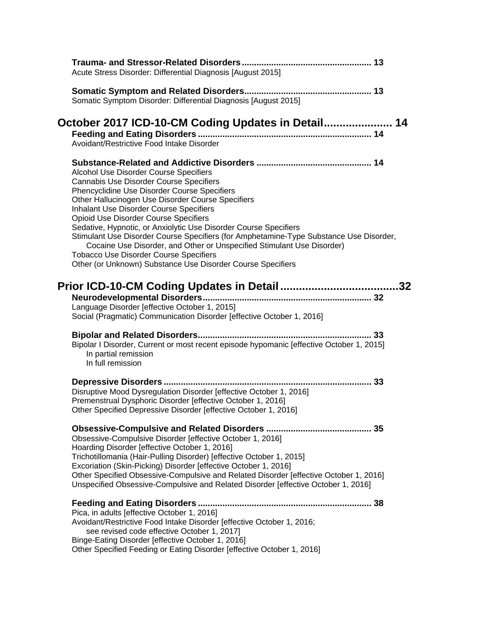| Acute Stress Disorder: Differential Diagnosis [August 2015]                                                                                                                                                                                                                                                                                                                                                                         |  |
|-------------------------------------------------------------------------------------------------------------------------------------------------------------------------------------------------------------------------------------------------------------------------------------------------------------------------------------------------------------------------------------------------------------------------------------|--|
| Somatic Symptom Disorder: Differential Diagnosis [August 2015]                                                                                                                                                                                                                                                                                                                                                                      |  |
| October 2017 ICD-10-CM Coding Updates in Detail 14<br>Avoidant/Restrictive Food Intake Disorder                                                                                                                                                                                                                                                                                                                                     |  |
| Alcohol Use Disorder Course Specifiers<br>Cannabis Use Disorder Course Specifiers<br>Phencyclidine Use Disorder Course Specifiers<br>Other Hallucinogen Use Disorder Course Specifiers                                                                                                                                                                                                                                              |  |
| Inhalant Use Disorder Course Specifiers<br><b>Opioid Use Disorder Course Specifiers</b><br>Sedative, Hypnotic, or Anxiolytic Use Disorder Course Specifiers<br>Stimulant Use Disorder Course Specifiers (for Amphetamine-Type Substance Use Disorder,<br>Cocaine Use Disorder, and Other or Unspecified Stimulant Use Disorder)<br><b>Tobacco Use Disorder Course Specifiers</b>                                                    |  |
| Other (or Unknown) Substance Use Disorder Course Specifiers                                                                                                                                                                                                                                                                                                                                                                         |  |
| Language Disorder [effective October 1, 2015]<br>Social (Pragmatic) Communication Disorder [effective October 1, 2016]                                                                                                                                                                                                                                                                                                              |  |
| Bipolar I Disorder, Current or most recent episode hypomanic [effective October 1, 2015]<br>In partial remission<br>In full remission                                                                                                                                                                                                                                                                                               |  |
| Disruptive Mood Dysregulation Disorder [effective October 1, 2016]<br>Premenstrual Dysphoric Disorder [effective October 1, 2016]<br>Other Specified Depressive Disorder [effective October 1, 2016]                                                                                                                                                                                                                                |  |
| Obsessive-Compulsive Disorder [effective October 1, 2016]<br>Hoarding Disorder [effective October 1, 2016]<br>Trichotillomania (Hair-Pulling Disorder) [effective October 1, 2015]<br>Excoriation (Skin-Picking) Disorder [effective October 1, 2016]<br>Other Specified Obsessive-Compulsive and Related Disorder [effective October 1, 2016]<br>Unspecified Obsessive-Compulsive and Related Disorder [effective October 1, 2016] |  |
| Pica, in adults [effective October 1, 2016]<br>Avoidant/Restrictive Food Intake Disorder [effective October 1, 2016;<br>see revised code effective October 1, 2017]<br>Binge-Eating Disorder [effective October 1, 2016]<br>Other Specified Feeding or Eating Disorder [effective October 1, 2016]                                                                                                                                  |  |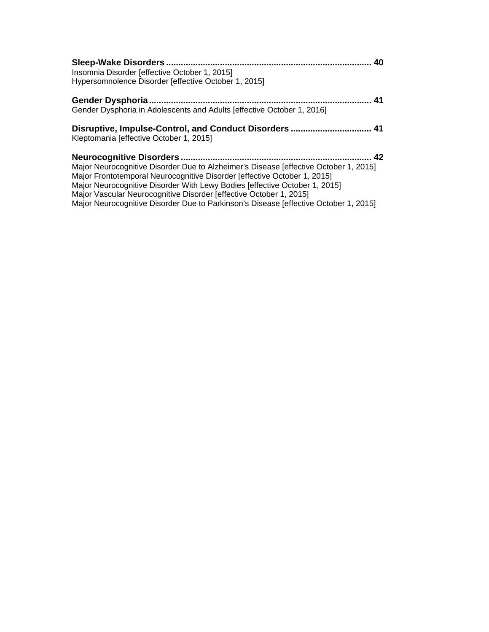| Sleep-Wake Disorders<br>Insomnia Disorder [effective October 1, 2015]<br>Hypersomnolence Disorder [effective October 1, 2015]                                                                                                                                                                                                                                                                                | 40 |
|--------------------------------------------------------------------------------------------------------------------------------------------------------------------------------------------------------------------------------------------------------------------------------------------------------------------------------------------------------------------------------------------------------------|----|
| <b>Gender Dysphoria</b><br>41                                                                                                                                                                                                                                                                                                                                                                                |    |
| Gender Dysphoria in Adolescents and Adults [effective October 1, 2016]                                                                                                                                                                                                                                                                                                                                       |    |
| Disruptive, Impulse-Control, and Conduct Disorders  41<br>Kleptomania [effective October 1, 2015]                                                                                                                                                                                                                                                                                                            |    |
| Major Neurocognitive Disorder Due to Alzheimer's Disease [effective October 1, 2015]<br>Major Frontotemporal Neurocognitive Disorder [effective October 1, 2015]<br>Major Neurocognitive Disorder With Lewy Bodies [effective October 1, 2015]<br>Major Vascular Neurocognitive Disorder [effective October 1, 2015]<br>Major Neurocognitive Disorder Due to Parkinson's Disease [effective October 1, 2015] |    |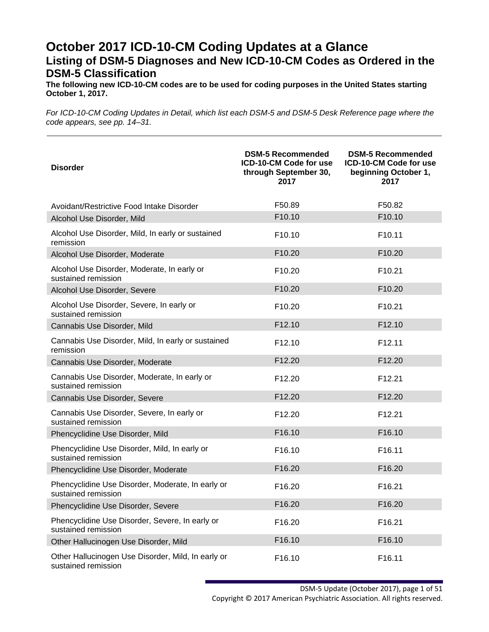## **October 2017 ICD-10-CM Coding Updates at a Glance Listing of DSM-5 Diagnoses and New ICD-10-CM Codes as Ordered in the DSM-5 Classification**

**The following new ICD-10-CM codes are to be used for coding purposes in the United States starting October 1, 2017.** 

*For ICD-10-CM Coding Updates in Detail, which list each DSM-5 and DSM-5 Desk Reference page where the code appears, see pp. 14–31.* 

| <b>Disorder</b>                                                           | <b>DSM-5 Recommended</b><br>ICD-10-CM Code for use<br>through September 30,<br>2017 | <b>DSM-5 Recommended</b><br>ICD-10-CM Code for use<br>beginning October 1,<br>2017 |
|---------------------------------------------------------------------------|-------------------------------------------------------------------------------------|------------------------------------------------------------------------------------|
| Avoidant/Restrictive Food Intake Disorder                                 | F50.89                                                                              | F50.82                                                                             |
| Alcohol Use Disorder, Mild                                                | F10.10                                                                              | F10.10                                                                             |
| Alcohol Use Disorder, Mild, In early or sustained<br>remission            | F <sub>10.10</sub>                                                                  | F <sub>10.11</sub>                                                                 |
| Alcohol Use Disorder, Moderate                                            | F <sub>10.20</sub>                                                                  | F10.20                                                                             |
| Alcohol Use Disorder, Moderate, In early or<br>sustained remission        | F <sub>10.20</sub>                                                                  | F10.21                                                                             |
| Alcohol Use Disorder, Severe                                              | F10.20                                                                              | F10.20                                                                             |
| Alcohol Use Disorder, Severe, In early or<br>sustained remission          | F10.20                                                                              | F10.21                                                                             |
| Cannabis Use Disorder, Mild                                               | F12.10                                                                              | F12.10                                                                             |
| Cannabis Use Disorder, Mild, In early or sustained<br>remission           | F <sub>12.10</sub>                                                                  | F12.11                                                                             |
| Cannabis Use Disorder, Moderate                                           | F12.20                                                                              | F12.20                                                                             |
| Cannabis Use Disorder, Moderate, In early or<br>sustained remission       | F <sub>12.20</sub>                                                                  | F <sub>12.21</sub>                                                                 |
| Cannabis Use Disorder, Severe                                             | F <sub>12.20</sub>                                                                  | F12.20                                                                             |
| Cannabis Use Disorder, Severe, In early or<br>sustained remission         | F <sub>12.20</sub>                                                                  | F <sub>12.21</sub>                                                                 |
| Phencyclidine Use Disorder, Mild                                          | F16.10                                                                              | F16.10                                                                             |
| Phencyclidine Use Disorder, Mild, In early or<br>sustained remission      | F16.10                                                                              | F16.11                                                                             |
| Phencyclidine Use Disorder, Moderate                                      | F16.20                                                                              | F16.20                                                                             |
| Phencyclidine Use Disorder, Moderate, In early or<br>sustained remission  | F <sub>16.20</sub>                                                                  | F16.21                                                                             |
| Phencyclidine Use Disorder, Severe                                        | F16.20                                                                              | F16.20                                                                             |
| Phencyclidine Use Disorder, Severe, In early or<br>sustained remission    | F16.20                                                                              | F16.21                                                                             |
| Other Hallucinogen Use Disorder, Mild                                     | F16.10                                                                              | F16.10                                                                             |
| Other Hallucinogen Use Disorder, Mild, In early or<br>sustained remission | F16.10                                                                              | F16.11                                                                             |

DSM‐5 Update (October 2017), page 1 of 51 Copyright © 2017 American Psychiatric Association. All rights reserved.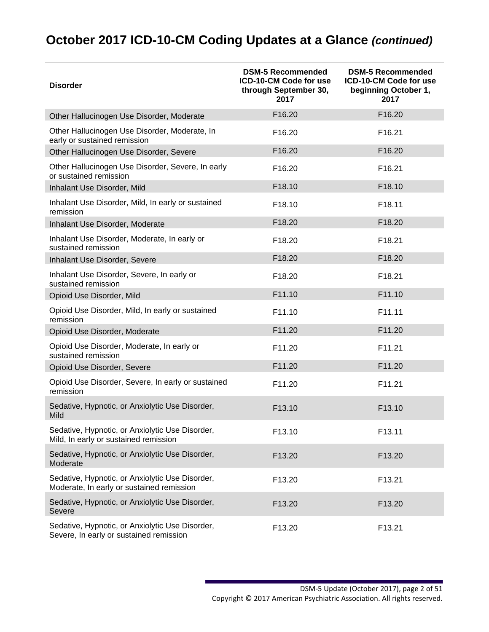| <b>Disorder</b>                                                                              | <b>DSM-5 Recommended</b><br>ICD-10-CM Code for use<br>through September 30,<br>2017 | <b>DSM-5 Recommended</b><br>ICD-10-CM Code for use<br>beginning October 1,<br>2017 |
|----------------------------------------------------------------------------------------------|-------------------------------------------------------------------------------------|------------------------------------------------------------------------------------|
| Other Hallucinogen Use Disorder, Moderate                                                    | F16.20                                                                              | F16.20                                                                             |
| Other Hallucinogen Use Disorder, Moderate, In<br>early or sustained remission                | F <sub>16.20</sub>                                                                  | F16.21                                                                             |
| Other Hallucinogen Use Disorder, Severe                                                      | F16.20                                                                              | F16.20                                                                             |
| Other Hallucinogen Use Disorder, Severe, In early<br>or sustained remission                  | F <sub>16.20</sub>                                                                  | F16.21                                                                             |
| Inhalant Use Disorder, Mild                                                                  | F18.10                                                                              | F18.10                                                                             |
| Inhalant Use Disorder, Mild, In early or sustained<br>remission                              | F18.10                                                                              | F18.11                                                                             |
| Inhalant Use Disorder, Moderate                                                              | F18.20                                                                              | F18.20                                                                             |
| Inhalant Use Disorder, Moderate, In early or<br>sustained remission                          | F18.20                                                                              | F <sub>18.21</sub>                                                                 |
| Inhalant Use Disorder, Severe                                                                | F18.20                                                                              | F18.20                                                                             |
| Inhalant Use Disorder, Severe, In early or<br>sustained remission                            | F18.20                                                                              | F18.21                                                                             |
| Opioid Use Disorder, Mild                                                                    | F11.10                                                                              | F11.10                                                                             |
| Opioid Use Disorder, Mild, In early or sustained<br>remission                                | F11.10                                                                              | F11.11                                                                             |
| Opioid Use Disorder, Moderate                                                                | F11.20                                                                              | F11.20                                                                             |
| Opioid Use Disorder, Moderate, In early or<br>sustained remission                            | F11.20                                                                              | F11.21                                                                             |
| Opioid Use Disorder, Severe                                                                  | F11.20                                                                              | F11.20                                                                             |
| Opioid Use Disorder, Severe, In early or sustained<br>remission                              | F11.20                                                                              | F11.21                                                                             |
| Sedative, Hypnotic, or Anxiolytic Use Disorder,<br>Mild                                      | F13.10                                                                              | F13.10                                                                             |
| Sedative, Hypnotic, or Anxiolytic Use Disorder,<br>Mild, In early or sustained remission     | F <sub>13.10</sub>                                                                  | F13.11                                                                             |
| Sedative, Hypnotic, or Anxiolytic Use Disorder,<br>Moderate                                  | F13.20                                                                              | F13.20                                                                             |
| Sedative, Hypnotic, or Anxiolytic Use Disorder,<br>Moderate, In early or sustained remission | F13.20                                                                              | F13.21                                                                             |
| Sedative, Hypnotic, or Anxiolytic Use Disorder,<br>Severe                                    | F13.20                                                                              | F13.20                                                                             |
| Sedative, Hypnotic, or Anxiolytic Use Disorder,<br>Severe, In early or sustained remission   | F13.20                                                                              | F13.21                                                                             |

# **October 2017 ICD-10-CM Coding Updates at a Glance** *(continued)*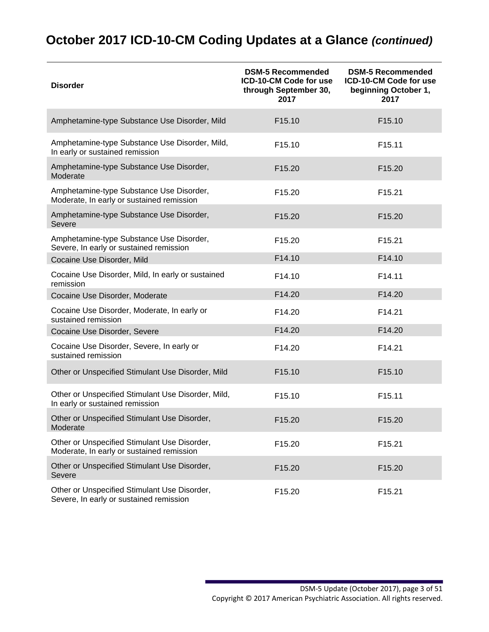| <b>Disorder</b>                                                                           | <b>DSM-5 Recommended</b><br>ICD-10-CM Code for use<br>through September 30,<br>2017 | <b>DSM-5 Recommended</b><br>ICD-10-CM Code for use<br>beginning October 1,<br>2017 |
|-------------------------------------------------------------------------------------------|-------------------------------------------------------------------------------------|------------------------------------------------------------------------------------|
| Amphetamine-type Substance Use Disorder, Mild                                             | F15.10                                                                              | F <sub>15.10</sub>                                                                 |
| Amphetamine-type Substance Use Disorder, Mild,<br>In early or sustained remission         | F <sub>15.10</sub>                                                                  | F15.11                                                                             |
| Amphetamine-type Substance Use Disorder,<br>Moderate                                      | F15.20                                                                              | F <sub>15.20</sub>                                                                 |
| Amphetamine-type Substance Use Disorder,<br>Moderate, In early or sustained remission     | F15.20                                                                              | F15.21                                                                             |
| Amphetamine-type Substance Use Disorder,<br>Severe                                        | F15.20                                                                              | F <sub>15.20</sub>                                                                 |
| Amphetamine-type Substance Use Disorder,<br>Severe, In early or sustained remission       | F <sub>15.20</sub>                                                                  | F <sub>15.21</sub>                                                                 |
| Cocaine Use Disorder, Mild                                                                | F14.10                                                                              | F14.10                                                                             |
| Cocaine Use Disorder, Mild, In early or sustained<br>remission                            | F14.10                                                                              | F <sub>14.11</sub>                                                                 |
| Cocaine Use Disorder, Moderate                                                            | F14.20                                                                              | F14.20                                                                             |
| Cocaine Use Disorder, Moderate, In early or<br>sustained remission                        | F14.20                                                                              | F14.21                                                                             |
| Cocaine Use Disorder, Severe                                                              | F14.20                                                                              | F14.20                                                                             |
| Cocaine Use Disorder, Severe, In early or<br>sustained remission                          | F14.20                                                                              | F14.21                                                                             |
| Other or Unspecified Stimulant Use Disorder, Mild                                         | F <sub>15.10</sub>                                                                  | F15.10                                                                             |
| Other or Unspecified Stimulant Use Disorder, Mild,<br>In early or sustained remission     | F15.10                                                                              | F15.11                                                                             |
| Other or Unspecified Stimulant Use Disorder,<br>Moderate                                  | F15.20                                                                              | F15.20                                                                             |
| Other or Unspecified Stimulant Use Disorder,<br>Moderate, In early or sustained remission | F15.20                                                                              | F15.21                                                                             |
| Other or Unspecified Stimulant Use Disorder,<br>Severe                                    | F15.20                                                                              | F15.20                                                                             |
| Other or Unspecified Stimulant Use Disorder,<br>Severe, In early or sustained remission   | F15.20                                                                              | F15.21                                                                             |

# **October 2017 ICD-10-CM Coding Updates at a Glance** *(continued)*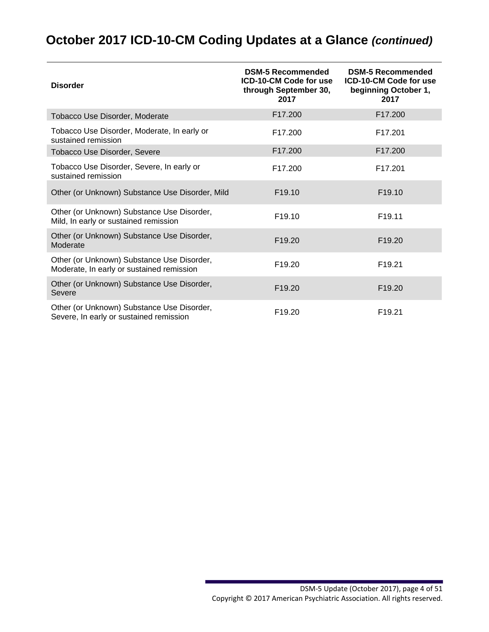| <b>Disorder</b>                                                                         | <b>DSM-5 Recommended</b><br>ICD-10-CM Code for use<br>through September 30,<br>2017 | <b>DSM-5 Recommended</b><br>ICD-10-CM Code for use<br>beginning October 1,<br>2017 |
|-----------------------------------------------------------------------------------------|-------------------------------------------------------------------------------------|------------------------------------------------------------------------------------|
| Tobacco Use Disorder, Moderate                                                          | F17.200                                                                             | F17.200                                                                            |
| Tobacco Use Disorder, Moderate, In early or<br>sustained remission                      | F17.200                                                                             | F <sub>17.201</sub>                                                                |
| Tobacco Use Disorder, Severe                                                            | F17.200                                                                             | F17.200                                                                            |
| Tobacco Use Disorder, Severe, In early or<br>sustained remission                        | F <sub>17.200</sub>                                                                 | F <sub>17.201</sub>                                                                |
| Other (or Unknown) Substance Use Disorder, Mild                                         | F <sub>19.10</sub>                                                                  | F <sub>19.10</sub>                                                                 |
| Other (or Unknown) Substance Use Disorder,<br>Mild, In early or sustained remission     | F <sub>19.10</sub>                                                                  | F <sub>19.11</sub>                                                                 |
| Other (or Unknown) Substance Use Disorder,<br>Moderate                                  | F19.20                                                                              | F <sub>19.20</sub>                                                                 |
| Other (or Unknown) Substance Use Disorder,<br>Moderate, In early or sustained remission | F <sub>19.20</sub>                                                                  | F <sub>19.21</sub>                                                                 |
| Other (or Unknown) Substance Use Disorder,<br>Severe                                    | F19.20                                                                              | F <sub>19.20</sub>                                                                 |
| Other (or Unknown) Substance Use Disorder,<br>Severe, In early or sustained remission   | F19.20                                                                              | F <sub>19.21</sub>                                                                 |

# **October 2017 ICD-10-CM Coding Updates at a Glance** *(continued)*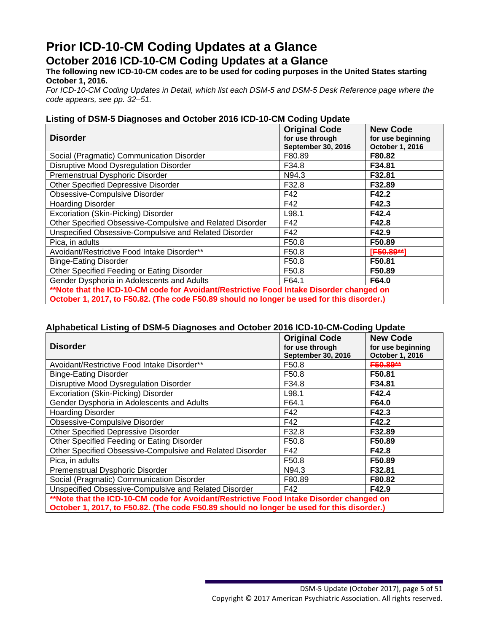## **Prior ICD-10-CM Coding Updates at a Glance October 2016 ICD-10-CM Coding Updates at a Glance**

## **The following new ICD-10-CM codes are to be used for coding purposes in the United States starting October 1, 2016.**

*For ICD-10-CM Coding Updates in Detail, which list each DSM-5 and DSM-5 Desk Reference page where the code appears, see pp. 32–51.* 

## **Listing of DSM-5 Diagnoses and October 2016 ICD-10-CM Coding Update**

| <b>Disorder</b>                                                                                                                                                                      | <b>Original Code</b><br>for use through<br><b>September 30, 2016</b> | <b>New Code</b><br>for use beginning<br>October 1, 2016 |
|--------------------------------------------------------------------------------------------------------------------------------------------------------------------------------------|----------------------------------------------------------------------|---------------------------------------------------------|
| Social (Pragmatic) Communication Disorder                                                                                                                                            | F80.89                                                               | F80.82                                                  |
| Disruptive Mood Dysregulation Disorder                                                                                                                                               | F34.8                                                                | F34.81                                                  |
| Premenstrual Dysphoric Disorder                                                                                                                                                      | N94.3                                                                | F32.81                                                  |
| <b>Other Specified Depressive Disorder</b>                                                                                                                                           | F32.8                                                                | F32.89                                                  |
| <b>Obsessive-Compulsive Disorder</b>                                                                                                                                                 | F42                                                                  | F42.2                                                   |
| <b>Hoarding Disorder</b>                                                                                                                                                             | F42                                                                  | F42.3                                                   |
| Excoriation (Skin-Picking) Disorder                                                                                                                                                  | L98.1                                                                | F42.4                                                   |
| Other Specified Obsessive-Compulsive and Related Disorder                                                                                                                            | F42                                                                  | F42.8                                                   |
| Unspecified Obsessive-Compulsive and Related Disorder                                                                                                                                | F42                                                                  | F42.9                                                   |
| Pica, in adults                                                                                                                                                                      | F50.8                                                                | F50.89                                                  |
| Avoidant/Restrictive Food Intake Disorder**                                                                                                                                          | F50.8                                                                | [ <del>F50.89**</del> ]                                 |
| <b>Binge-Eating Disorder</b>                                                                                                                                                         | F50.8                                                                | F50.81                                                  |
| Other Specified Feeding or Eating Disorder                                                                                                                                           | F50.8                                                                | F50.89                                                  |
| Gender Dysphoria in Adolescents and Adults                                                                                                                                           | F64.1                                                                | F64.0                                                   |
| **Note that the ICD-10-CM code for Avoidant/Restrictive Food Intake Disorder changed on<br>October 1, 2017, to F50.82. (The code F50.89 should no longer be used for this disorder.) |                                                                      |                                                         |

## **Alphabetical Listing of DSM-5 Diagnoses and October 2016 ICD-10-CM-Coding Update**

| <b>Disorder</b>                                                                           | <b>Original Code</b><br>for use through<br><b>September 30, 2016</b> | <b>New Code</b><br>for use beginning<br>October 1, 2016 |
|-------------------------------------------------------------------------------------------|----------------------------------------------------------------------|---------------------------------------------------------|
| Avoidant/Restrictive Food Intake Disorder**                                               | F50.8                                                                | F50.89**                                                |
| <b>Binge-Eating Disorder</b>                                                              | F50.8                                                                | F50.81                                                  |
| Disruptive Mood Dysregulation Disorder                                                    | F34.8                                                                | F34.81                                                  |
| Excoriation (Skin-Picking) Disorder                                                       | L98.1                                                                | F42.4                                                   |
| Gender Dysphoria in Adolescents and Adults                                                | F64.1                                                                | F64.0                                                   |
| <b>Hoarding Disorder</b>                                                                  | F42                                                                  | F42.3                                                   |
| Obsessive-Compulsive Disorder                                                             | F42                                                                  | F42.2                                                   |
| <b>Other Specified Depressive Disorder</b>                                                | F32.8                                                                | F32.89                                                  |
| Other Specified Feeding or Eating Disorder                                                | F50.8                                                                | F50.89                                                  |
| Other Specified Obsessive-Compulsive and Related Disorder                                 | F42                                                                  | F42.8                                                   |
| Pica, in adults                                                                           | F50.8                                                                | F50.89                                                  |
| Premenstrual Dysphoric Disorder                                                           | N94.3                                                                | F32.81                                                  |
| Social (Pragmatic) Communication Disorder                                                 | F80.89                                                               | F80.82                                                  |
| Unspecified Obsessive-Compulsive and Related Disorder                                     | F42                                                                  | F42.9                                                   |
| **Note that the ICD-10-CM code for Avoidant/Restrictive Food Intake Disorder changed on   |                                                                      |                                                         |
| October 1, 2017, to F50.82. (The code F50.89 should no longer be used for this disorder.) |                                                                      |                                                         |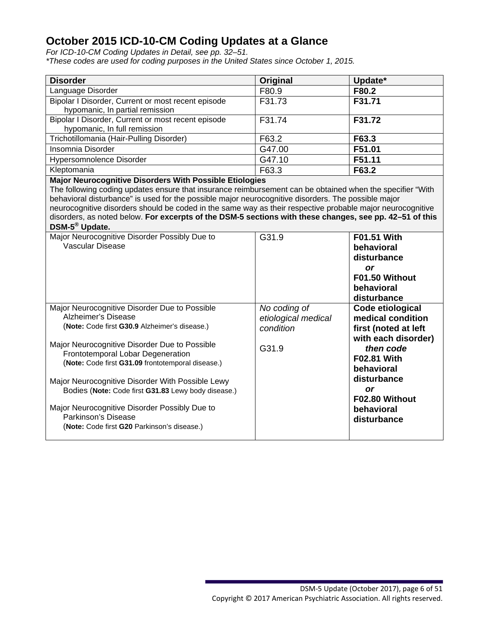## **October 2015 ICD-10-CM Coding Updates at a Glance**

*For ICD-10-CM Coding Updates in Detail, see pp. 32–51.* 

*\*These codes are used for coding purposes in the United States since October 1, 2015.* 

| <b>Disorder</b>                                                                                                                                                                                                                                                                                                                                                                                                                                                                                                          | Original                                         | Update*                                                                                                                                  |
|--------------------------------------------------------------------------------------------------------------------------------------------------------------------------------------------------------------------------------------------------------------------------------------------------------------------------------------------------------------------------------------------------------------------------------------------------------------------------------------------------------------------------|--------------------------------------------------|------------------------------------------------------------------------------------------------------------------------------------------|
| Language Disorder                                                                                                                                                                                                                                                                                                                                                                                                                                                                                                        | F80.9                                            | F80.2                                                                                                                                    |
| Bipolar I Disorder, Current or most recent episode                                                                                                                                                                                                                                                                                                                                                                                                                                                                       | F31.73                                           | F31.71                                                                                                                                   |
| hypomanic, In partial remission                                                                                                                                                                                                                                                                                                                                                                                                                                                                                          |                                                  |                                                                                                                                          |
| Bipolar I Disorder, Current or most recent episode                                                                                                                                                                                                                                                                                                                                                                                                                                                                       | F31.74                                           | F31.72                                                                                                                                   |
| hypomanic, In full remission                                                                                                                                                                                                                                                                                                                                                                                                                                                                                             |                                                  |                                                                                                                                          |
| Trichotillomania (Hair-Pulling Disorder)                                                                                                                                                                                                                                                                                                                                                                                                                                                                                 | F63.2                                            | F63.3                                                                                                                                    |
| Insomnia Disorder                                                                                                                                                                                                                                                                                                                                                                                                                                                                                                        | G47.00                                           | F51.01                                                                                                                                   |
| Hypersomnolence Disorder                                                                                                                                                                                                                                                                                                                                                                                                                                                                                                 | G47.10                                           | F51.11                                                                                                                                   |
| Kleptomania<br>Major Neurocognitive Disorders With Possible Etiologies                                                                                                                                                                                                                                                                                                                                                                                                                                                   | F63.3                                            | F63.2                                                                                                                                    |
| The following coding updates ensure that insurance reimbursement can be obtained when the specifier "With<br>behavioral disturbance" is used for the possible major neurocognitive disorders. The possible major<br>neurocognitive disorders should be coded in the same way as their respective probable major neurocognitive<br>disorders, as noted below. For excerpts of the DSM-5 sections with these changes, see pp. 42-51 of this<br>DSM-5 <sup>®</sup> Update.<br>Major Neurocognitive Disorder Possibly Due to | G31.9                                            | F01.51 With                                                                                                                              |
| Vascular Disease                                                                                                                                                                                                                                                                                                                                                                                                                                                                                                         |                                                  | behavioral<br>disturbance<br>or<br>F01.50 Without<br>behavioral<br>disturbance                                                           |
| Major Neurocognitive Disorder Due to Possible<br>Alzheimer's Disease<br>(Note: Code first G30.9 Alzheimer's disease.)                                                                                                                                                                                                                                                                                                                                                                                                    | No coding of<br>etiological medical<br>condition | Code etiological<br>medical condition<br>first (noted at left                                                                            |
| Major Neurocognitive Disorder Due to Possible<br>Frontotemporal Lobar Degeneration<br>(Note: Code first G31.09 frontotemporal disease.)<br>Major Neurocognitive Disorder With Possible Lewy<br>Bodies (Note: Code first G31.83 Lewy body disease.)<br>Major Neurocognitive Disorder Possibly Due to<br>Parkinson's Disease<br>(Note: Code first G20 Parkinson's disease.)                                                                                                                                                | G31.9                                            | with each disorder)<br>then code<br><b>F02.81 With</b><br>behavioral<br>disturbance<br>or<br>F02.80 Without<br>behavioral<br>disturbance |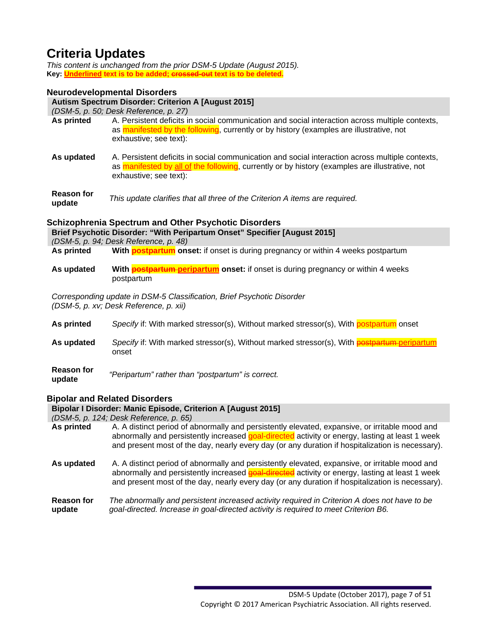# **Criteria Updates**

*This content is unchanged from the prior DSM-5 Update (August 2015).*  **Key: Underlined text is to be added; crossed-out text is to be deleted.** 

## **Neurodevelopmental Disorders**

**Autism Spectrum Disorder: Criterion A [August 2015]** 

*(DSM-5, p. 50; Desk Reference, p. 27)*

- **As printed** A. Persistent deficits in social communication and social interaction across multiple contexts, as manifested by the following, currently or by history (examples are illustrative, not exhaustive; see text):
- **As updated** A. Persistent deficits in social communication and social interaction across multiple contexts, as manifested by all of the following, currently or by history (examples are illustrative, not exhaustive; see text):

**Reason for update** *This update clarifies that all three of the Criterion A items are required.*

## **Schizophrenia Spectrum and Other Psychotic Disorders Brief Psychotic Disorder: "With Peripartum Onset" Specifier [August 2015]**

*(DSM-5, p. 94; Desk Reference, p. 48)*

**As printed With postpartum onset:** if onset is during pregnancy or within 4 weeks postpartum

As updated With **postpartum-peripartum** onset: if onset is during pregnancy or within 4 weeks postpartum

*Corresponding update in DSM-5 Classification, Brief Psychotic Disorder (DSM-5, p. xv; Desk Reference, p. xii)* 

- **As printed** *Specify* if: With marked stressor(s), Without marked stressor(s), With postpartum onset
- **As updated** Specify if: With marked stressor(s), Without marked stressor(s), With **postpartum** peripartum onset
- **Reason for update** *"Peripartum" rather than "postpartum" is correct.*

## **Bipolar and Related Disorders**

## **Bipolar I Disorder: Manic Episode, Criterion A [August 2015]**

*(DSM-5, p. 124; Desk Reference, p. 65)*

- **As printed** A. A distinct period of abnormally and persistently elevated, expansive, or irritable mood and abnormally and persistently increased goal-directed activity or energy, lasting at least 1 week and present most of the day, nearly every day (or any duration if hospitalization is necessary).
- **As updated** A. A distinct period of abnormally and persistently elevated, expansive, or irritable mood and abnormally and persistently increased goal-directed activity or energy, lasting at least 1 week and present most of the day, nearly every day (or any duration if hospitalization is necessary).
- **Reason for update** *The abnormally and persistent increased activity required in Criterion A does not have to be goal-directed. Increase in goal-directed activity is required to meet Criterion B6.*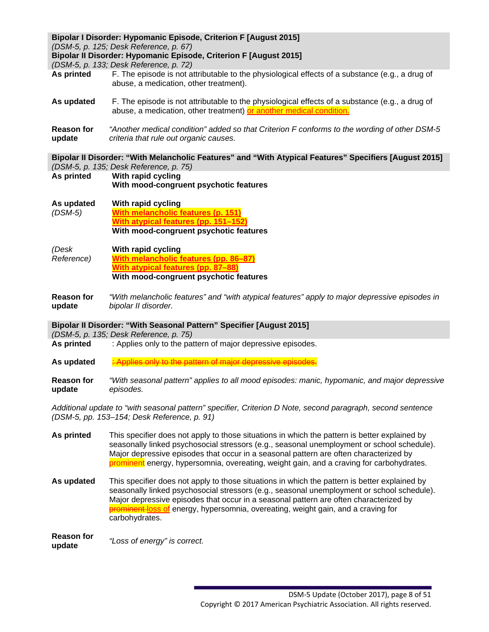|                             | Bipolar I Disorder: Hypomanic Episode, Criterion F [August 2015]<br>(DSM-5, p. 125; Desk Reference, p. 67)                                                             |
|-----------------------------|------------------------------------------------------------------------------------------------------------------------------------------------------------------------|
|                             | Bipolar II Disorder: Hypomanic Episode, Criterion F [August 2015]<br>(DSM-5, p. 133; Desk Reference, p. 72)                                                            |
| As printed                  | F. The episode is not attributable to the physiological effects of a substance (e.g., a drug of<br>abuse, a medication, other treatment).                              |
| As updated                  | F. The episode is not attributable to the physiological effects of a substance (e.g., a drug of<br>abuse, a medication, other treatment) or another medical condition. |
| <b>Reason for</b><br>update | "Another medical condition" added so that Criterion F conforms to the wording of other DSM-5<br>criteria that rule out organic causes.                                 |
|                             | Bipolar II Disorder: "With Melancholic Features" and "With Atypical Features" Specifiers [August 2015]<br>(DSM-5, p. 135; Desk Reference, p. 75)                       |
| As printed                  | With rapid cycling<br>With mood-congruent psychotic features                                                                                                           |
| As updated                  | With rapid cycling                                                                                                                                                     |
| $(DSM-5)$                   | With melancholic features (p. 151)                                                                                                                                     |
|                             | With atypical features (pp. 151–152)                                                                                                                                   |
|                             | With mood-congruent psychotic features                                                                                                                                 |

*(Desk Reference)*  **With rapid cycling With melancholic features (pp. 86–87) With atypical features (pp. 87–88) With mood-congruent psychotic features** 

**Reason for update** *"With melancholic features" and "with atypical features" apply to major depressive episodes in bipolar II disorder.* 

**Bipolar II Disorder: "With Seasonal Pattern" Specifier [August 2015]** 

*(DSM-5, p. 135; Desk Reference, p. 75)*

**As printed** : Applies only to the pattern of major depressive episodes.

**As updated** : Applies only to the pattern of major depressive episodes.

**Reason for update** *"With seasonal pattern" applies to all mood episodes: manic, hypomanic, and major depressive episodes.* 

*Additional update to "with seasonal pattern" specifier, Criterion D Note, second paragraph, second sentence (DSM-5, pp. 153–154; Desk Reference, p. 91)* 

**As printed** This specifier does not apply to those situations in which the pattern is better explained by seasonally linked psychosocial stressors (e.g., seasonal unemployment or school schedule). Major depressive episodes that occur in a seasonal pattern are often characterized by prominent energy, hypersomnia, overeating, weight gain, and a craving for carbohydrates.

**As updated** This specifier does not apply to those situations in which the pattern is better explained by seasonally linked psychosocial stressors (e.g., seasonal unemployment or school schedule). Major depressive episodes that occur in a seasonal pattern are often characterized by **prominent-loss of** energy, hypersomnia, overeating, weight gain, and a craving for carbohydrates.

**Reason for update** *"Loss of energy" is correct.*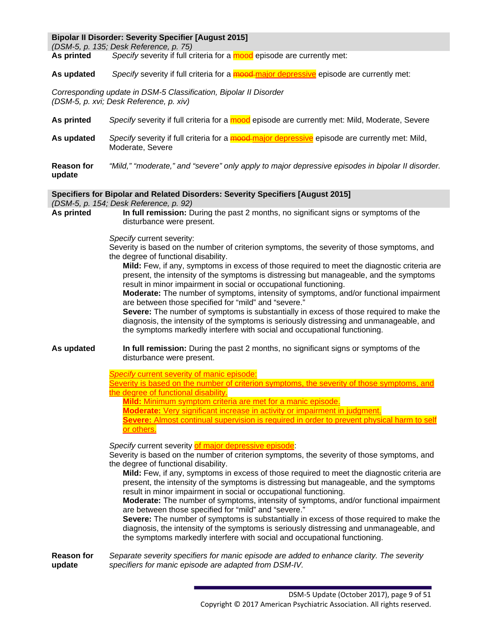#### **Bipolar II Disorder: Severity Specifier [August 2015]**

*(DSM-5, p. 135; Desk Reference, p. 75)*

**As printed** *Specify* severity if full criteria for a mood episode are currently met:

As updated Specify severity if full criteria for a mood major depressive episode are currently met:

*Corresponding update in DSM-5 Classification, Bipolar II Disorder (DSM-5, p. xvi; Desk Reference, p. xiv)* 

- As printed Specify severity if full criteria for a mood episode are currently met: Mild, Moderate, Severe
- As updated Specify severity if full criteria for a move major depressive episode are currently met: Mild, Moderate, Severe

#### **Specifiers for Bipolar and Related Disorders: Severity Specifiers [August 2015]**

*(DSM-5, p. 154; Desk Reference, p. 92)*

**As printed In full remission:** During the past 2 months, no significant signs or symptoms of the disturbance were present.

*Specify* current severity:

Severity is based on the number of criterion symptoms, the severity of those symptoms, and the degree of functional disability.

**Mild:** Few, if any, symptoms in excess of those required to meet the diagnostic criteria are present, the intensity of the symptoms is distressing but manageable, and the symptoms result in minor impairment in social or occupational functioning.

**Moderate:** The number of symptoms, intensity of symptoms, and/or functional impairment are between those specified for "mild" and "severe."

**Severe:** The number of symptoms is substantially in excess of those required to make the diagnosis, the intensity of the symptoms is seriously distressing and unmanageable, and the symptoms markedly interfere with social and occupational functioning.

**As updated In full remission:** During the past 2 months, no significant signs or symptoms of the disturbance were present.

*Specify* current severity of manic episode:

Severity is based on the number of criterion symptoms, the severity of those symptoms, and the degree of functional disability.

**Mild:** Minimum symptom criteria are met for a manic episode.

**Moderate:** Very significant increase in activity or impairment in judgment.

**Severe:** Almost continual supervision is required in order to prevent physical harm to self or others.

Specify current severity of major depressive episode:

Severity is based on the number of criterion symptoms, the severity of those symptoms, and the degree of functional disability.

**Mild:** Few, if any, symptoms in excess of those required to meet the diagnostic criteria are present, the intensity of the symptoms is distressing but manageable, and the symptoms result in minor impairment in social or occupational functioning.

**Moderate:** The number of symptoms, intensity of symptoms, and/or functional impairment are between those specified for "mild" and "severe."

**Severe:** The number of symptoms is substantially in excess of those required to make the diagnosis, the intensity of the symptoms is seriously distressing and unmanageable, and the symptoms markedly interfere with social and occupational functioning.

**Reason for update** *Separate severity specifiers for manic episode are added to enhance clarity. The severity specifiers for manic episode are adapted from DSM-IV.*

**Reason for update** *"Mild," "moderate," and "severe" only apply to major depressive episodes in bipolar II disorder.*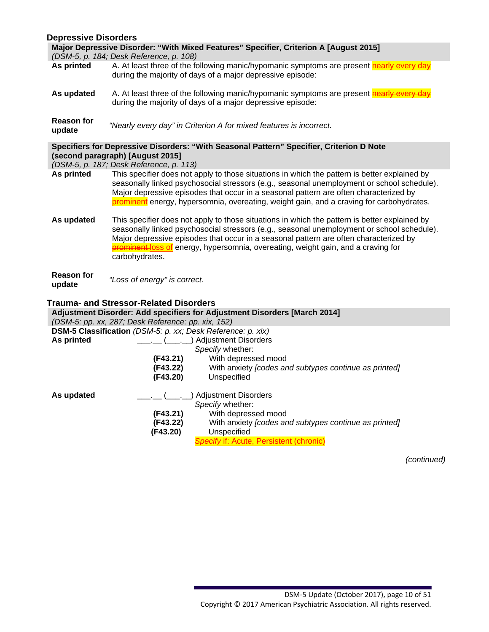| <b>Depressive Disorders</b> |                                                                                                                                                                                                                                                                                                                                                                                                        |
|-----------------------------|--------------------------------------------------------------------------------------------------------------------------------------------------------------------------------------------------------------------------------------------------------------------------------------------------------------------------------------------------------------------------------------------------------|
|                             | Major Depressive Disorder: "With Mixed Features" Specifier, Criterion A [August 2015]<br>(DSM-5, p. 184; Desk Reference, p. 108)                                                                                                                                                                                                                                                                       |
| As printed                  | A. At least three of the following manic/hypomanic symptoms are present nearly every day<br>during the majority of days of a major depressive episode:                                                                                                                                                                                                                                                 |
| As updated                  | A. At least three of the following manic/hypomanic symptoms are present nearly every day<br>during the majority of days of a major depressive episode:                                                                                                                                                                                                                                                 |
| Reason for<br>update        | "Nearly every day" in Criterion A for mixed features is incorrect.                                                                                                                                                                                                                                                                                                                                     |
|                             | Specifiers for Depressive Disorders: "With Seasonal Pattern" Specifier, Criterion D Note<br>(second paragraph) [August 2015]<br>(DSM-5, p. 187; Desk Reference, p. 113)                                                                                                                                                                                                                                |
| As printed                  | This specifier does not apply to those situations in which the pattern is better explained by<br>seasonally linked psychosocial stressors (e.g., seasonal unemployment or school schedule).<br>Major depressive episodes that occur in a seasonal pattern are often characterized by<br>prominent energy, hypersomnia, overeating, weight gain, and a craving for carbohydrates.                       |
| As updated                  | This specifier does not apply to those situations in which the pattern is better explained by<br>seasonally linked psychosocial stressors (e.g., seasonal unemployment or school schedule).<br>Major depressive episodes that occur in a seasonal pattern are often characterized by<br><del>prominent loss of</del> energy, hypersomnia, overeating, weight gain, and a craving for<br>carbohydrates. |

**Reason for update** *"Loss of energy" is correct.* 

## **Trauma- and Stressor-Related Disorders**

| Adjustment Disorder: Add specifiers for Adjustment Disorders [March 2014]<br>(DSM-5: pp. xx, 287; Desk Reference: pp. xix, 152) |                                                              |  |
|---------------------------------------------------------------------------------------------------------------------------------|--------------------------------------------------------------|--|
| DSM-5 Classification (DSM-5: p. xx; Desk Reference: p. xix)                                                                     |                                                              |  |
| As printed                                                                                                                      | <b>Adjustment Disorders</b>                                  |  |
|                                                                                                                                 | Specify whether:                                             |  |
| (F43.21)                                                                                                                        | With depressed mood                                          |  |
| (F43.22)                                                                                                                        | With anxiety <i>[codes and subtypes continue as printed]</i> |  |
| (F43.20)                                                                                                                        | Unspecified                                                  |  |
| As updated                                                                                                                      | <b>Adjustment Disorders</b>                                  |  |
|                                                                                                                                 | Specify whether:                                             |  |
| (F43.21)                                                                                                                        | With depressed mood                                          |  |
| (F43.22)                                                                                                                        | With anxiety <i>[codes and subtypes continue as printed]</i> |  |
| (F43.20)                                                                                                                        | Unspecified                                                  |  |
|                                                                                                                                 | Specify if: Acute, Persistent (chronic)                      |  |

*(continued)*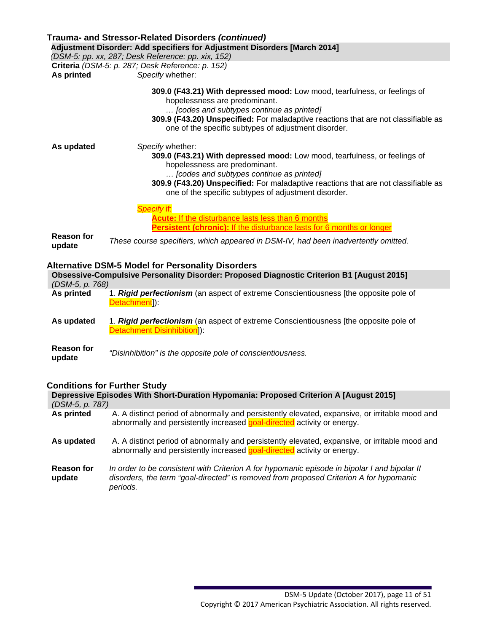|                                                                           | Trauma- and Stressor-Related Disorders (continued)                                                                                                     |  |  |
|---------------------------------------------------------------------------|--------------------------------------------------------------------------------------------------------------------------------------------------------|--|--|
| Adjustment Disorder: Add specifiers for Adjustment Disorders [March 2014] |                                                                                                                                                        |  |  |
| (DSM-5: pp. xx, 287; Desk Reference: pp. xix, 152)                        |                                                                                                                                                        |  |  |
| Criteria (DSM-5: p. 287; Desk Reference: p. 152)                          |                                                                                                                                                        |  |  |
| Specify whether:<br>As printed                                            |                                                                                                                                                        |  |  |
|                                                                           | 309.0 (F43.21) With depressed mood: Low mood, tearfulness, or feelings of<br>hopelessness are predominant.<br>[codes and subtypes continue as printed] |  |  |
|                                                                           | 309.9 (F43.20) Unspecified: For maladaptive reactions that are not classifiable as<br>one of the specific subtypes of adjustment disorder.             |  |  |
| As updated<br>Specify whether:                                            |                                                                                                                                                        |  |  |
|                                                                           | 309.0 (F43.21) With depressed mood: Low mood, tearfulness, or feelings of<br>hopelessness are predominant.<br>[codes and subtypes continue as printed] |  |  |
|                                                                           | 309.9 (F43.20) Unspecified: For maladaptive reactions that are not classifiable as<br>one of the specific subtypes of adjustment disorder.             |  |  |
|                                                                           | Specify if:                                                                                                                                            |  |  |
|                                                                           | Acute: If the disturbance lasts less than 6 months                                                                                                     |  |  |
|                                                                           | Persistent (chronic): If the disturbance lasts for 6 months or longer                                                                                  |  |  |
| <b>Reason for</b><br>update                                               | These course specifiers, which appeared in DSM-IV, had been inadvertently omitted.                                                                     |  |  |
|                                                                           | <b>Alternative DSM-5 Model for Personality Disorders</b>                                                                                               |  |  |
| (DSM-5, p. 768)                                                           | Obsessive-Compulsive Personality Disorder: Proposed Diagnostic Criterion B1 [August 2015]                                                              |  |  |

- **As printed** 1. *Rigid perfectionism* (an aspect of extreme Conscientiousness [the opposite pole of Detachment]):
- **As updated** 1. *Rigid perfectionism* (an aspect of extreme Conscientiousness [the opposite pole of Detachment Disinhibition]):
- **Reason for update** *"Disinhibition" is the opposite pole of conscientiousness.*

## **Conditions for Further Study**

| Depressive Episodes With Short-Duration Hypomania: Proposed Criterion A [August 2015]<br>(DSM-5, p. 787) |                                                                                                                                                                                                    |  |
|----------------------------------------------------------------------------------------------------------|----------------------------------------------------------------------------------------------------------------------------------------------------------------------------------------------------|--|
| As printed                                                                                               | A. A distinct period of abnormally and persistently elevated, expansive, or irritable mood and<br>abnormally and persistently increased goal-directed activity or energy.                          |  |
| As updated                                                                                               | A. A distinct period of abnormally and persistently elevated, expansive, or irritable mood and<br>abnormally and persistently increased goal-directed activity or energy.                          |  |
| <b>Reason for</b><br>update                                                                              | In order to be consistent with Criterion A for hypomanic episode in bipolar I and bipolar II<br>disorders, the term "goal-directed" is removed from proposed Criterion A for hypomanic<br>periods. |  |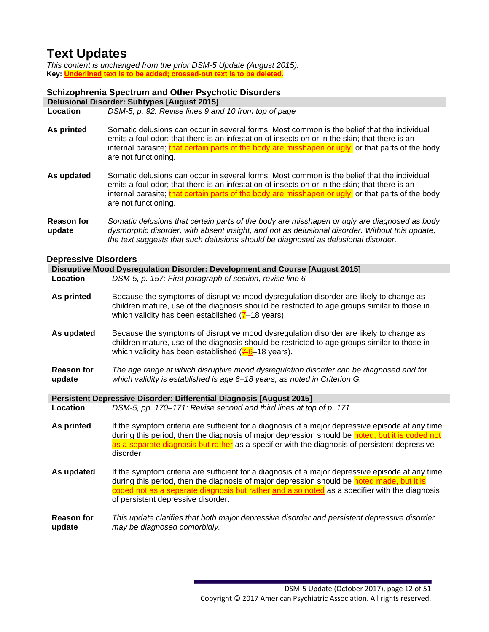# **Text Updates**

*This content is unchanged from the prior DSM-5 Update (August 2015).*  **Key: Underlined text is to be added; crossed-out text is to be deleted.** 

## **Schizophrenia Spectrum and Other Psychotic Disorders**

**Delusional Disorder: Subtypes [August 2015]**

| Location | DSM-5, p. 92: Revise lines 9 and 10 from top of page |  |
|----------|------------------------------------------------------|--|
|----------|------------------------------------------------------|--|

- **As printed** Somatic delusions can occur in several forms. Most common is the belief that the individual emits a foul odor; that there is an infestation of insects on or in the skin; that there is an internal parasite; that certain parts of the body are misshapen or  $\frac{u}{v}$  or that parts of the body are not functioning.
- **As updated** Somatic delusions can occur in several forms. Most common is the belief that the individual emits a foul odor; that there is an infestation of insects on or in the skin; that there is an internal parasite; that certain parts of the body are misshapen or ugly; or that parts of the body are not functioning.
- **Reason for update** *Somatic delusions that certain parts of the body are misshapen or ugly are diagnosed as body dysmorphic disorder, with absent insight, and not as delusional disorder. Without this update, the text suggests that such delusions should be diagnosed as delusional disorder.*

#### **Depressive Disorders**

|                             | Disruptive Mood Dysregulation Disorder: Development and Course [August 2015]                                                                                                                                                                                                                                                          |
|-----------------------------|---------------------------------------------------------------------------------------------------------------------------------------------------------------------------------------------------------------------------------------------------------------------------------------------------------------------------------------|
| Location                    | DSM-5, p. 157: First paragraph of section, revise line 6                                                                                                                                                                                                                                                                              |
| As printed                  | Because the symptoms of disruptive mood dysregulation disorder are likely to change as<br>children mature, use of the diagnosis should be restricted to age groups similar to those in<br>which validity has been established $(7-18 \text{ years})$ .                                                                                |
| As updated                  | Because the symptoms of disruptive mood dysregulation disorder are likely to change as<br>children mature, use of the diagnosis should be restricted to age groups similar to those in<br>which validity has been established $\left(\frac{7}{6} - 18\right)$ years).                                                                 |
| <b>Reason for</b><br>update | The age range at which disruptive mood dysregulation disorder can be diagnosed and for<br>which validity is established is age 6-18 years, as noted in Criterion G.                                                                                                                                                                   |
|                             | Persistent Depressive Disorder: Differential Diagnosis [August 2015]                                                                                                                                                                                                                                                                  |
| Location                    | DSM-5, pp. 170–171: Revise second and third lines at top of p. 171                                                                                                                                                                                                                                                                    |
| As printed                  | If the symptom criteria are sufficient for a diagnosis of a major depressive episode at any time<br>during this period, then the diagnosis of major depression should be noted, but it is coded not<br>as a separate diagnosis but rather as a specifier with the diagnosis of persistent depressive<br>disorder.                     |
| As updated                  | If the symptom criteria are sufficient for a diagnosis of a major depressive episode at any time<br>during this period, then the diagnosis of major depression should be noted made, but it is<br>coded not as a separate diagnosis but rather and also noted as a specifier with the diagnosis<br>of persistent depressive disorder. |
| <b>Reason for</b><br>update | This update clarifies that both major depressive disorder and persistent depressive disorder<br>may be diagnosed comorbidly.                                                                                                                                                                                                          |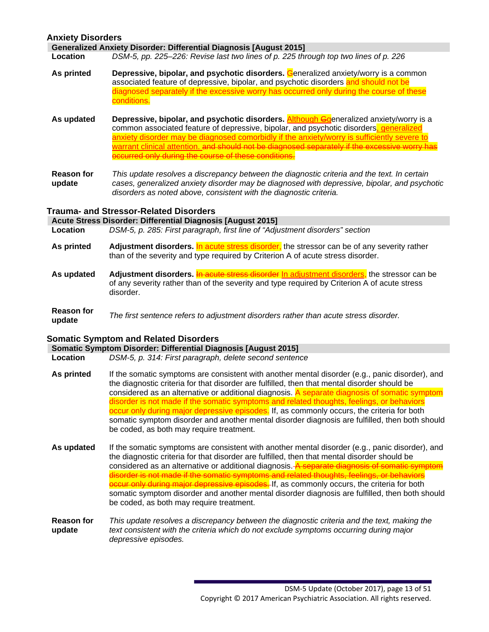#### **Anxiety Disorders**

| Generalized Anxiety Disorder: Differential Diagnosis [August 2015] |                                                                                     |  |
|--------------------------------------------------------------------|-------------------------------------------------------------------------------------|--|
| Location                                                           | DSM-5, pp. 225–226: Revise last two lines of p. 225 through top two lines of p. 226 |  |

- **As printed Depressive, bipolar, and psychotic disorders.** Generalized anxiety/worry is a common associated feature of depressive, bipolar, and psychotic disorders and should not be diagnosed separately if the excessive worry has occurred only during the course of these conditions.
- **As updated Depressive, bipolar, and psychotic disorders.** Although Ggeneralized anxiety/worry is a common associated feature of depressive, bipolar, and psychotic disorders, generalized anxiety disorder may be diagnosed comorbidly if the anxiety/worry is sufficiently severe to warrant clinical attention. <del>and should not be diagnosed separately if the excessive worry has</del> occurred only during the course of these conditions.
- **Reason for update** *This update resolves a discrepancy between the diagnostic criteria and the text. In certain cases, generalized anxiety disorder may be diagnosed with depressive, bipolar, and psychotic disorders as noted above, consistent with the diagnostic criteria.*

#### **Trauma- and Stressor-Related Disorders**

|                      | Acute Stress Disorder: Differential Diagnosis [August 2015]                                                                                                                                              |
|----------------------|----------------------------------------------------------------------------------------------------------------------------------------------------------------------------------------------------------|
| Location             | DSM-5, p. 285: First paragraph, first line of "Adjustment disorders" section                                                                                                                             |
| As printed           | Adjustment disorders. In acute stress disorder, the stressor can be of any severity rather<br>than of the severity and type required by Criterion A of acute stress disorder.                            |
| As updated           | Adjustment disorders. In acute stress disorder In adjustment disorders, the stressor can be<br>of any severity rather than of the severity and type required by Criterion A of acute stress<br>disorder. |
| Reason for<br>update | The first sentence refers to adjustment disorders rather than acute stress disorder.                                                                                                                     |

#### **Somatic Symptom and Related Disorders**

**Somatic Symptom Disorder: Differential Diagnosis [August 2015]**

**Location** *DSM-5, p. 314: First paragraph, delete second sentence*

- **As printed** If the somatic symptoms are consistent with another mental disorder (e.g., panic disorder), and the diagnostic criteria for that disorder are fulfilled, then that mental disorder should be considered as an alternative or additional diagnosis. A separate diagnosis of somatic symptom disorder is not made if the somatic symptoms and related thoughts, feelings, or behaviors occur only during major depressive episodes. If, as commonly occurs, the criteria for both somatic symptom disorder and another mental disorder diagnosis are fulfilled, then both should be coded, as both may require treatment.
- **As updated** If the somatic symptoms are consistent with another mental disorder (e.g., panic disorder), and the diagnostic criteria for that disorder are fulfilled, then that mental disorder should be considered as an alternative or additional diagnosis. A separate diagnosis of somatic symptom disorder is not made if the somatic symptoms and related thoughts, feelings, or behaviors occur only during major depressive episodes. If, as commonly occurs, the criteria for both somatic symptom disorder and another mental disorder diagnosis are fulfilled, then both should be coded, as both may require treatment.
- **Reason for update** *This update resolves a discrepancy between the diagnostic criteria and the text, making the text consistent with the criteria which do not exclude symptoms occurring during major depressive episodes.*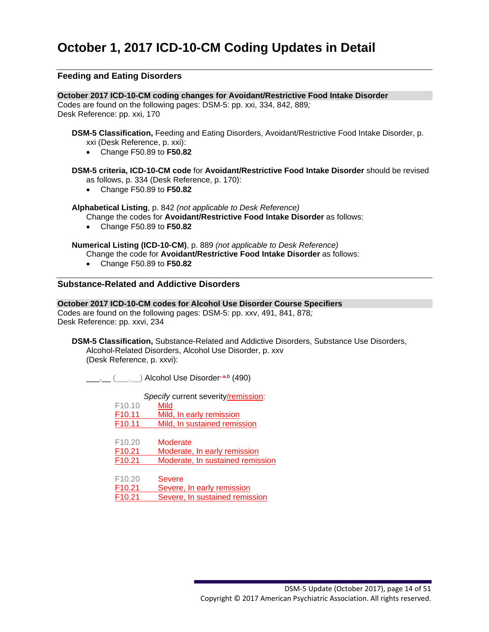### **Feeding and Eating Disorders**

#### **October 2017 ICD-10-CM coding changes for Avoidant/Restrictive Food Intake Disorder**

Codes are found on the following pages: DSM-5: pp. xxi, 334, 842, 889*;*  Desk Reference: pp. xxi, 170

**DSM-5 Classification,** Feeding and Eating Disorders, Avoidant/Restrictive Food Intake Disorder, p.

- xxi (Desk Reference, p. xxi):
- Change F50.89 to **F50.82**

## **DSM-5 criteria, ICD-10-CM code** for **Avoidant/Restrictive Food Intake Disorder** should be revised

- as follows, p. 334 (Desk Reference, p. 170):
- Change F50.89 to **F50.82**

**Alphabetical Listing**, p. 842 *(not applicable to Desk Reference)*

Change the codes for **Avoidant/Restrictive Food Intake Disorder** as follows:

Change F50.89 to **F50.82**

#### **Numerical Listing (ICD-10-CM)**, p. 889 *(not applicable to Desk Reference)*

Change the code for **Avoidant/Restrictive Food Intake Disorder** as follows:

Change F50.89 to **F50.82**

#### **Substance-Related and Addictive Disorders**

#### **October 2017 ICD-10-CM codes for Alcohol Use Disorder Course Specifiers**

Codes are found on the following pages: DSM-5: pp. xxv, 491, 841, 878*;*  Desk Reference: pp. xxvi, 234

**DSM-5 Classification,** Substance-Related and Addictive Disorders, Substance Use Disorders, Alcohol-Related Disorders, Alcohol Use Disorder, p. xxv (Desk Reference, p. xxvi):

 $\ldots$  ( $\ldots$ ) Alcohol Use Disorder, a,b (490)

 *Specify* current severity/remission: F10.10 Mild

F10.11 Mild, In early remission F10.11 Mild, In sustained remission

F10.20 Moderate F10.21 Moderate, In early remission F10.21 Moderate, In sustained remission

F10.20 Severe

F10.21 Severe, In early remission

F10.21 Severe, In sustained remission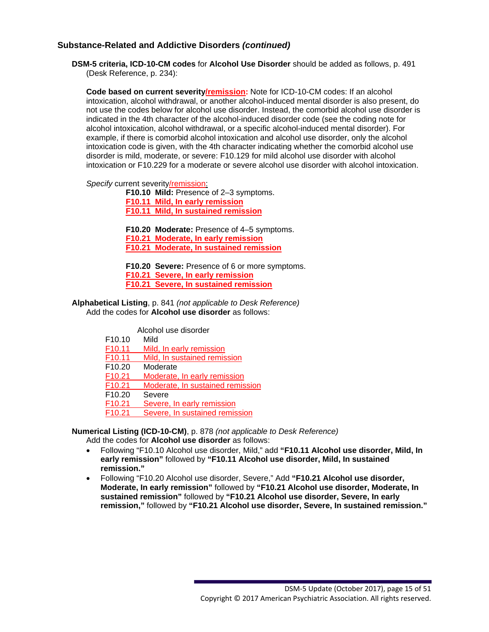**DSM-5 criteria, ICD-10-CM codes** for **Alcohol Use Disorder** should be added as follows, p. 491 (Desk Reference, p. 234):

**Code based on current severity/remission:** Note for ICD-10-CM codes: If an alcohol intoxication, alcohol withdrawal, or another alcohol-induced mental disorder is also present, do not use the codes below for alcohol use disorder. Instead, the comorbid alcohol use disorder is indicated in the 4th character of the alcohol-induced disorder code (see the coding note for alcohol intoxication, alcohol withdrawal, or a specific alcohol-induced mental disorder). For example, if there is comorbid alcohol intoxication and alcohol use disorder, only the alcohol intoxication code is given, with the 4th character indicating whether the comorbid alcohol use disorder is mild, moderate, or severe: F10.129 for mild alcohol use disorder with alcohol intoxication or F10.229 for a moderate or severe alcohol use disorder with alcohol intoxication.

*Specify* current severity/remission:

**F10.10 Mild:** Presence of 2–3 symptoms. **F10.11 Mild, In early remission F10.11 Mild, In sustained remission** 

**F10.20 Moderate:** Presence of 4–5 symptoms. **F10.21 Moderate, In early remission F10.21 Moderate, In sustained remission** 

**F10.20 Severe:** Presence of 6 or more symptoms. **F10.21 Severe, In early remission F10.21 Severe, In sustained remission** 

**Alphabetical Listing**, p. 841 *(not applicable to Desk Reference)* Add the codes for **Alcohol use disorder** as follows:

Alcohol use disorder

| F <sub>10.10</sub> | Mild                             |
|--------------------|----------------------------------|
| F10.11             | Mild, In early remission         |
| F10.11             | Mild, In sustained remission     |
| F10.20             | Moderate                         |
| F10.21             | Moderate, In early remission     |
| F10.21             | Moderate, In sustained remission |
| F <sub>10.20</sub> | Severe                           |
| F10.21             | Severe, In early remission       |
| F <sub>10.21</sub> | Severe, In sustained remission   |
|                    |                                  |

**Numerical Listing (ICD-10-CM)**, p. 878 *(not applicable to Desk Reference)*

Add the codes for **Alcohol use disorder** as follows:

- Following "F10.10 Alcohol use disorder, Mild," add **"F10.11 Alcohol use disorder, Mild, In early remission"** followed by **"F10.11 Alcohol use disorder, Mild, In sustained remission."**
- Following "F10.20 Alcohol use disorder, Severe," Add **"F10.21 Alcohol use disorder, Moderate, In early remission"** followed by **"F10.21 Alcohol use disorder, Moderate, In sustained remission"** followed by **"F10.21 Alcohol use disorder, Severe, In early remission,"** followed by **"F10.21 Alcohol use disorder, Severe, In sustained remission."**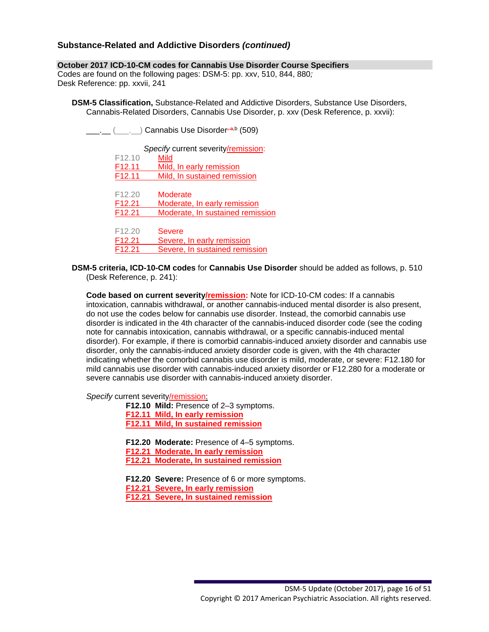#### **October 2017 ICD-10-CM codes for Cannabis Use Disorder Course Specifiers**

Codes are found on the following pages: DSM-5: pp. xxv, 510, 844, 880*;*  Desk Reference: pp. xxvii, 241

**DSM-5 Classification,** Substance-Related and Addictive Disorders, Substance Use Disorders, Cannabis-Related Disorders, Cannabis Use Disorder, p. xxv (Desk Reference, p. xxvii):

 $\ldots$  ( $\ldots$ ) Cannabis Use Disorder, a,b (509)

|                    | Specify current severity/remission: |
|--------------------|-------------------------------------|
| F <sub>12.10</sub> | Mild                                |
| F <sub>12.11</sub> | Mild, In early remission            |
| F12.11             | Mild, In sustained remission        |
|                    |                                     |
| F <sub>12.20</sub> | Moderate                            |
| F12.21             | Moderate, In early remission        |
| F12.21             | Moderate, In sustained remission    |
|                    |                                     |
| F <sub>12.20</sub> | <b>Severe</b>                       |
| F <sub>12.21</sub> | Severe, In early remission          |
| F12.21             | Severe, In sustained remission      |
|                    |                                     |

**DSM-5 criteria, ICD-10-CM codes** for **Cannabis Use Disorder** should be added as follows, p. 510 (Desk Reference, p. 241):

**Code based on current severity/remission:** Note for ICD-10-CM codes: If a cannabis intoxication, cannabis withdrawal, or another cannabis-induced mental disorder is also present, do not use the codes below for cannabis use disorder. Instead, the comorbid cannabis use disorder is indicated in the 4th character of the cannabis-induced disorder code (see the coding note for cannabis intoxication, cannabis withdrawal, or a specific cannabis-induced mental disorder). For example, if there is comorbid cannabis-induced anxiety disorder and cannabis use disorder, only the cannabis-induced anxiety disorder code is given, with the 4th character indicating whether the comorbid cannabis use disorder is mild, moderate, or severe: F12.180 for mild cannabis use disorder with cannabis-induced anxiety disorder or F12.280 for a moderate or severe cannabis use disorder with cannabis-induced anxiety disorder.

**Specify current severity/remission:** 

**F12.10 Mild:** Presence of 2–3 symptoms. **F12.11 Mild, In early remission F12.11 Mild, In sustained remission** 

**F12.20 Moderate:** Presence of 4–5 symptoms. **F12.21 Moderate, In early remission F12.21 Moderate, In sustained remission** 

**F12.20 Severe:** Presence of 6 or more symptoms.

**F12.21 Severe, In early remission** 

**F12.21 Severe, In sustained remission**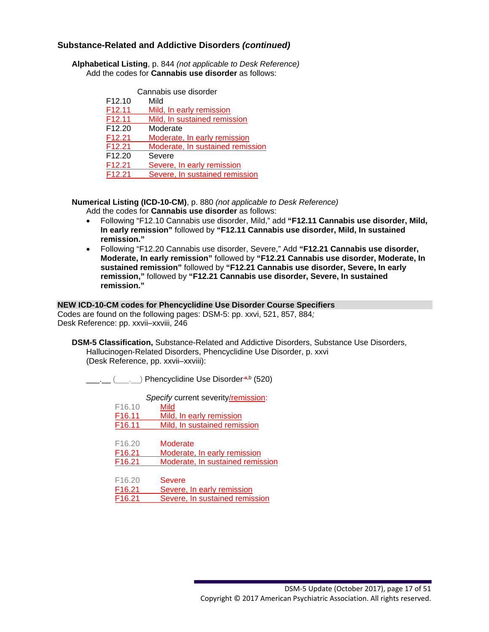**Alphabetical Listing**, p. 844 *(not applicable to Desk Reference)* Add the codes for **Cannabis use disorder** as follows:

|                    | Cannabis use disorder            |
|--------------------|----------------------------------|
| F <sub>12.10</sub> | Mild                             |
| F <sub>12.11</sub> | Mild, In early remission         |
| F <sub>12.11</sub> | Mild, In sustained remission     |
| F <sub>12.20</sub> | Moderate                         |
| F12.21             | Moderate, In early remission     |
| F12.21             | Moderate, In sustained remission |
| F <sub>12.20</sub> | Severe                           |
| F12.21             | Severe, In early remission       |
| F12.21             | Severe, In sustained remission   |

**Numerical Listing (ICD-10-CM)**, p. 880 *(not applicable to Desk Reference)*

Add the codes for **Cannabis use disorder** as follows:

- Following "F12.10 Cannabis use disorder, Mild," add **"F12.11 Cannabis use disorder, Mild, In early remission"** followed by **"F12.11 Cannabis use disorder, Mild, In sustained remission."**
- Following "F12.20 Cannabis use disorder, Severe," Add **"F12.21 Cannabis use disorder, Moderate, In early remission"** followed by **"F12.21 Cannabis use disorder, Moderate, In sustained remission"** followed by **"F12.21 Cannabis use disorder, Severe, In early remission,"** followed by **"F12.21 Cannabis use disorder, Severe, In sustained remission."**

#### **NEW ICD-10-CM codes for Phencyclidine Use Disorder Course Specifiers**

Codes are found on the following pages: DSM-5: pp. xxvi, 521, 857, 884*;*  Desk Reference: pp. xxvii–xxviii, 246

**DSM-5 Classification,** Substance-Related and Addictive Disorders, Substance Use Disorders, Hallucinogen-Related Disorders, Phencyclidine Use Disorder, p. xxvi (Desk Reference, pp. xxvii–xxviii):

 $\ldots$  ( $\ldots$ ) Phencyclidine Use Disorder<sup>a,b</sup> (520)

 *Specify* current severity/remission: F16.10 Mild F16.11 Mild, In early remission F16.11 Mild, In sustained remission

F16.20 Moderate F16.21 Moderate, In early remission F16.21 Moderate, In sustained remission

F16.20 Severe

F16.21 Severe, In early remission

F16.21 Severe, In sustained remission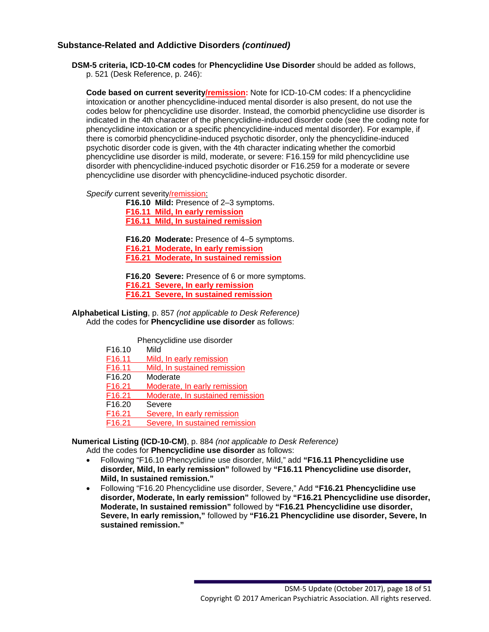**DSM-5 criteria, ICD-10-CM codes** for **Phencyclidine Use Disorder** should be added as follows, p. 521 (Desk Reference, p. 246):

**Code based on current severity/remission:** Note for ICD-10-CM codes: If a phencyclidine intoxication or another phencyclidine-induced mental disorder is also present, do not use the codes below for phencyclidine use disorder. Instead, the comorbid phencyclidine use disorder is indicated in the 4th character of the phencyclidine-induced disorder code (see the coding note for phencyclidine intoxication or a specific phencyclidine-induced mental disorder). For example, if there is comorbid phencyclidine-induced psychotic disorder, only the phencyclidine-induced psychotic disorder code is given, with the 4th character indicating whether the comorbid phencyclidine use disorder is mild, moderate, or severe: F16.159 for mild phencyclidine use disorder with phencyclidine-induced psychotic disorder or F16.259 for a moderate or severe phencyclidine use disorder with phencyclidine-induced psychotic disorder.

*Specify* current severity/remission:

**F16.10 Mild:** Presence of 2–3 symptoms. **F16.11 Mild, In early remission F16.11 Mild, In sustained remission** 

**F16.20 Moderate:** Presence of 4–5 symptoms. **F16.21 Moderate, In early remission F16.21 Moderate, In sustained remission** 

**F16.20 Severe:** Presence of 6 or more symptoms. **F16.21 Severe, In early remission F16.21 Severe, In sustained remission**

**Alphabetical Listing**, p. 857 *(not applicable to Desk Reference)* Add the codes for **Phencyclidine use disorder** as follows:

Phencyclidine use disorder

| F <sub>16.10</sub>  | Mild                             |
|---------------------|----------------------------------|
| F <sub>16</sub> .11 | Mild, In early remission         |
| F <sub>16.11</sub>  | Mild, In sustained remission     |
| F <sub>16.20</sub>  | Moderate                         |
| F <sub>16.21</sub>  | Moderate, In early remission     |
| F <sub>16.21</sub>  | Moderate, In sustained remission |
| F <sub>16.20</sub>  | Severe                           |
| F16.21              | Severe, In early remission       |
| F <sub>16.21</sub>  | Severe, In sustained remission   |

**Numerical Listing (ICD-10-CM)**, p. 884 *(not applicable to Desk Reference)*

Add the codes for **Phencyclidine use disorder** as follows:

- Following "F16.10 Phencyclidine use disorder, Mild," add **"F16.11 Phencyclidine use disorder, Mild, In early remission"** followed by **"F16.11 Phencyclidine use disorder, Mild, In sustained remission."**
- Following "F16.20 Phencyclidine use disorder, Severe," Add **"F16.21 Phencyclidine use disorder, Moderate, In early remission"** followed by **"F16.21 Phencyclidine use disorder, Moderate, In sustained remission"** followed by **"F16.21 Phencyclidine use disorder, Severe, In early remission,"** followed by **"F16.21 Phencyclidine use disorder, Severe, In sustained remission."**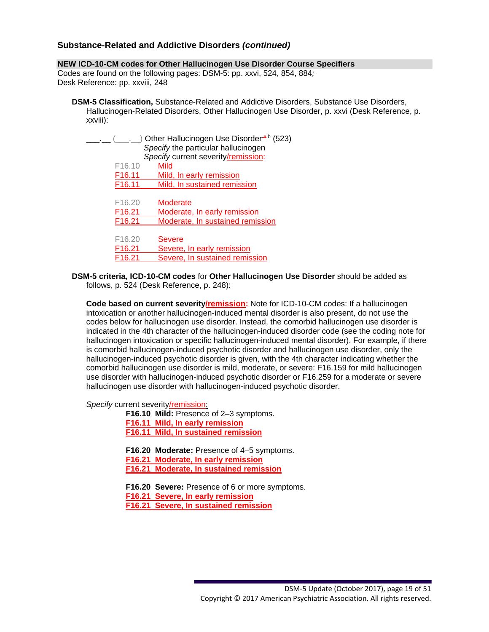#### **NEW ICD-10-CM codes for Other Hallucinogen Use Disorder Course Specifiers**

Codes are found on the following pages: DSM-5: pp. xxvi, 524, 854, 884*;*  Desk Reference: pp. xxviii, 248

**DSM-5 Classification,** Substance-Related and Addictive Disorders, Substance Use Disorders, Hallucinogen-Related Disorders, Other Hallucinogen Use Disorder, p. xxvi (Desk Reference, p. xxviii):

|                    | Other Hallucinogen Use Disorder <sup>a,b</sup> (523) |
|--------------------|------------------------------------------------------|
|                    | Specify the particular hallucinogen                  |
|                    | Specify current severity/remission:                  |
| F <sub>16.10</sub> | Mild                                                 |
| F <sub>16.11</sub> | Mild, In early remission                             |
| F <sub>16.11</sub> | Mild, In sustained remission                         |
|                    |                                                      |
| F <sub>16.20</sub> | Moderate                                             |
| F <sub>16.21</sub> | Moderate, In early remission                         |
| F <sub>16.21</sub> | Moderate, In sustained remission                     |
|                    |                                                      |
| F <sub>16.20</sub> | <b>Severe</b>                                        |
| F <sub>16.21</sub> | Severe, In early remission                           |
| F16.21             | Severe, In sustained remission                       |
|                    |                                                      |

#### **DSM-5 criteria, ICD-10-CM codes** for **Other Hallucinogen Use Disorder** should be added as follows, p. 524 (Desk Reference, p. 248):

**Code based on current severity/remission:** Note for ICD-10-CM codes: If a hallucinogen intoxication or another hallucinogen-induced mental disorder is also present, do not use the codes below for hallucinogen use disorder. Instead, the comorbid hallucinogen use disorder is indicated in the 4th character of the hallucinogen-induced disorder code (see the coding note for hallucinogen intoxication or specific hallucinogen-induced mental disorder). For example, if there is comorbid hallucinogen-induced psychotic disorder and hallucinogen use disorder, only the hallucinogen-induced psychotic disorder is given, with the 4th character indicating whether the comorbid hallucinogen use disorder is mild, moderate, or severe: F16.159 for mild hallucinogen use disorder with hallucinogen-induced psychotic disorder or F16.259 for a moderate or severe hallucinogen use disorder with hallucinogen-induced psychotic disorder.

**Specify current severity/remission:** 

**F16.10 Mild:** Presence of 2–3 symptoms. **F16.11 Mild, In early remission F16.11 Mild, In sustained remission** 

**F16.20 Moderate:** Presence of 4–5 symptoms. **F16.21 Moderate, In early remission F16.21 Moderate, In sustained remission** 

**F16.20 Severe:** Presence of 6 or more symptoms. **F16.21 Severe, In early remission F16.21 Severe, In sustained remission**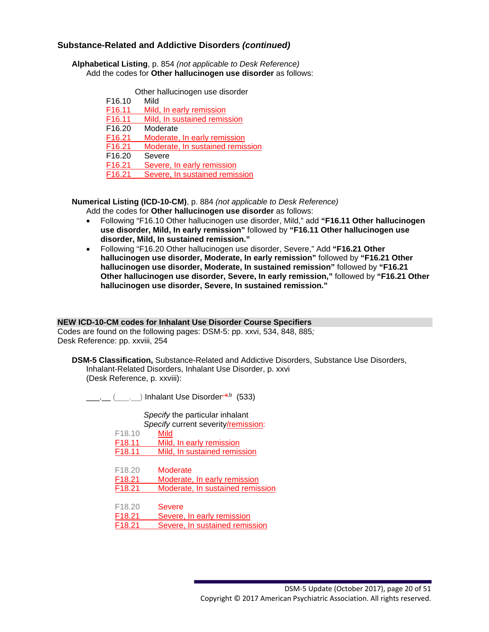**Alphabetical Listing**, p. 854 *(not applicable to Desk Reference)* Add the codes for **Other hallucinogen use disorder** as follows:

> Other hallucinogen use disorder F16.10 Mild F16.11 Mild, In early remission F16.11 Mild, In sustained remission F16.20 Moderate F16.21 Moderate, In early remission<br>F16.21 Moderate, In sustained remis Moderate, In sustained remission F16.20 Severe F16.21 Severe, In early remission F16.21 Severe, In sustained remission

**Numerical Listing (ICD-10-CM)**, p. 884 *(not applicable to Desk Reference)*

Add the codes for **Other hallucinogen use disorder** as follows:

- Following "F16.10 Other hallucinogen use disorder, Mild," add **"F16.11 Other hallucinogen use disorder, Mild, In early remission"** followed by **"F16.11 Other hallucinogen use disorder, Mild, In sustained remission."**
- Following "F16.20 Other hallucinogen use disorder, Severe," Add **"F16.21 Other hallucinogen use disorder, Moderate, In early remission"** followed by **"F16.21 Other hallucinogen use disorder, Moderate, In sustained remission"** followed by **"F16.21 Other hallucinogen use disorder, Severe, In early remission,"** followed by **"F16.21 Other hallucinogen use disorder, Severe, In sustained remission."**

#### **NEW ICD-10-CM codes for Inhalant Use Disorder Course Specifiers**

Codes are found on the following pages: DSM-5: pp. xxvi, 534, 848, 885*;*  Desk Reference: pp. xxviii, 254

**DSM-5 Classification,** Substance-Related and Addictive Disorders, Substance Use Disorders, Inhalant-Related Disorders, Inhalant Use Disorder, p. xxvi (Desk Reference, p. xxviii):

 $\underline{\hspace{1cm}}$  ( $\underline{\hspace{1cm}}$ ) Inhalant Use Disorder,  $a,b$  (533)

 *Specify* the particular inhalant  *Specify* current severity/remission: F18.10 Mild F18.11 Mild, In early remission F18.11 Mild, In sustained remission

- F18.20 Moderate F18.21 Moderate, In early remission
- F18.21 Moderate, In sustained remission

F18.20 Severe

F18.21 Severe, In early remission

F18.21 Severe, In sustained remission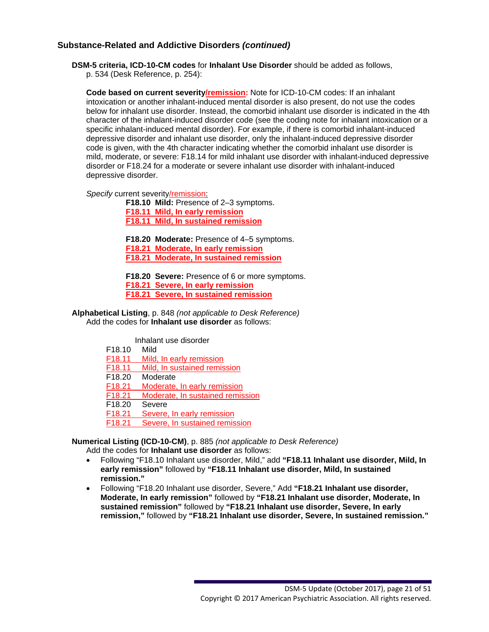**DSM-5 criteria, ICD-10-CM codes** for **Inhalant Use Disorder** should be added as follows,

p. 534 (Desk Reference, p. 254):

**Code based on current severity/remission:** Note for ICD-10-CM codes: If an inhalant intoxication or another inhalant-induced mental disorder is also present, do not use the codes below for inhalant use disorder. Instead, the comorbid inhalant use disorder is indicated in the 4th character of the inhalant-induced disorder code (see the coding note for inhalant intoxication or a specific inhalant-induced mental disorder). For example, if there is comorbid inhalant-induced depressive disorder and inhalant use disorder, only the inhalant-induced depressive disorder code is given, with the 4th character indicating whether the comorbid inhalant use disorder is mild, moderate, or severe: F18.14 for mild inhalant use disorder with inhalant-induced depressive disorder or F18.24 for a moderate or severe inhalant use disorder with inhalant-induced depressive disorder.

*Specify* current severity/remission:

**F18.10 Mild:** Presence of 2–3 symptoms. **F18.11 Mild, In early remission F18.11 Mild, In sustained remission** 

**F18.20 Moderate:** Presence of 4–5 symptoms. **F18.21 Moderate, In early remission F18.21 Moderate, In sustained remission** 

**F18.20 Severe:** Presence of 6 or more symptoms. **F18.21 Severe, In early remission F18.21 Severe, In sustained remission**

#### **Alphabetical Listing**, p. 848 *(not applicable to Desk Reference)* Add the codes for **Inhalant use disorder** as follows:

Inhalant use disorder

 F18.10 Mild F18.11 Mild, In early remission F18.11 Mild, In sustained remission F18.20 Moderate F18.21 Moderate, In early remission<br>F18.21 Moderate, In sustained remis Moderate, In sustained remission F18.20 Severe F18.21 Severe, In early remission F18.21 Severe, In sustained remission

**Numerical Listing (ICD-10-CM)**, p. 885 *(not applicable to Desk Reference)*

Add the codes for **Inhalant use disorder** as follows:

- Following "F18.10 Inhalant use disorder, Mild," add **"F18.11 Inhalant use disorder, Mild, In early remission"** followed by **"F18.11 Inhalant use disorder, Mild, In sustained remission."**
- Following "F18.20 Inhalant use disorder, Severe," Add **"F18.21 Inhalant use disorder, Moderate, In early remission"** followed by **"F18.21 Inhalant use disorder, Moderate, In sustained remission"** followed by **"F18.21 Inhalant use disorder, Severe, In early remission,"** followed by **"F18.21 Inhalant use disorder, Severe, In sustained remission."**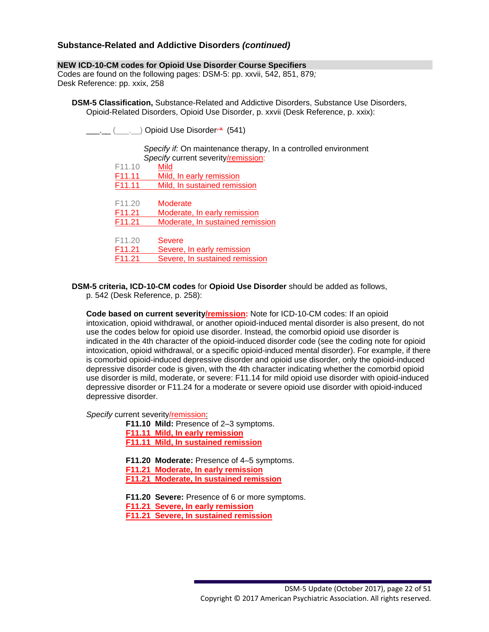#### **NEW ICD-10-CM codes for Opioid Use Disorder Course Specifiers**

Codes are found on the following pages: DSM-5: pp. xxvii, 542, 851, 879*;*  Desk Reference: pp. xxix, 258

**DSM-5 Classification,** Substance-Related and Addictive Disorders, Substance Use Disorders, Opioid-Related Disorders, Opioid Use Disorder, p. xxvii (Desk Reference, p. xxix):

 $\ldots$  ( $\ldots$ ) Opioid Use Disorder<sup>-a</sup> (541)

*Specify if:* On maintenance therapy, In a controlled environment *Specify* current severity/remission:

F11.10 Mild F11.11 Mild, In early remission

F11.11 Mild, In sustained remission

F11.20 Moderate F11.21 Moderate, In early remission F11.21 Moderate, In sustained remission F11.20 Severe

F11.21 Severe, In early remission F11.21 Severe, In sustained remission

**DSM-5 criteria, ICD-10-CM codes** for **Opioid Use Disorder** should be added as follows,

p. 542 (Desk Reference, p. 258):

**Code based on current severity/remission:** Note for ICD-10-CM codes: If an opioid intoxication, opioid withdrawal, or another opioid-induced mental disorder is also present, do not use the codes below for opioid use disorder. Instead, the comorbid opioid use disorder is indicated in the 4th character of the opioid-induced disorder code (see the coding note for opioid intoxication, opioid withdrawal, or a specific opioid-induced mental disorder). For example, if there is comorbid opioid-induced depressive disorder and opioid use disorder, only the opioid-induced depressive disorder code is given, with the 4th character indicating whether the comorbid opioid use disorder is mild, moderate, or severe: F11.14 for mild opioid use disorder with opioid-induced depressive disorder or F11.24 for a moderate or severe opioid use disorder with opioid-induced depressive disorder.

*Specify* current severity/remission:

**F11.10 Mild:** Presence of 2–3 symptoms. **F11.11 Mild, In early remission F11.11 Mild, In sustained remission** 

**F11.20 Moderate:** Presence of 4–5 symptoms. **F11.21 Moderate, In early remission F11.21 Moderate, In sustained remission** 

**F11.20 Severe:** Presence of 6 or more symptoms. **F11.21 Severe, In early remission F11.21 Severe, In sustained remission**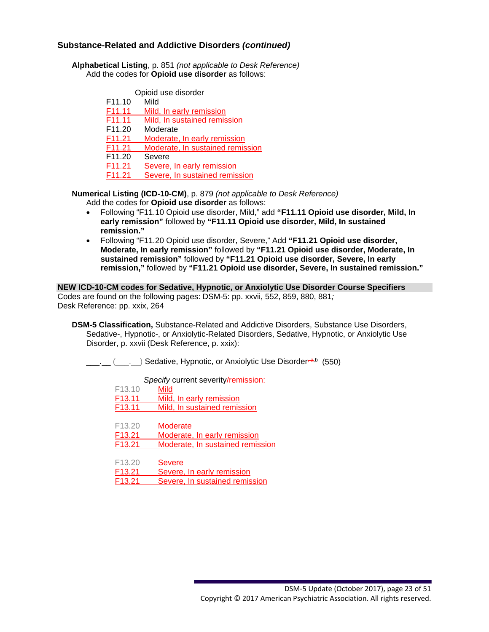**Alphabetical Listing**, p. 851 *(not applicable to Desk Reference)* Add the codes for **Opioid use disorder** as follows:

Opioid use disorder

- F11.10 Mild F11.11 Mild, In early remission
- F11.11 Mild, In sustained remission
- F11.20 Moderate
- 
- F11.21 Moderate, In early remission<br>F11.21 Moderate, In sustained remis Moderate, In sustained remission
- F11.20 Severe
- F11.21 Severe, In early remission
- F11.21 Severe, In sustained remission

**Numerical Listing (ICD-10-CM)**, p. 879 *(not applicable to Desk Reference)*

- Add the codes for **Opioid use disorder** as follows:
- Following "F11.10 Opioid use disorder, Mild," add **"F11.11 Opioid use disorder, Mild, In early remission"** followed by **"F11.11 Opioid use disorder, Mild, In sustained remission."**
- Following "F11.20 Opioid use disorder, Severe," Add **"F11.21 Opioid use disorder, Moderate, In early remission"** followed by **"F11.21 Opioid use disorder, Moderate, In sustained remission"** followed by **"F11.21 Opioid use disorder, Severe, In early remission,"** followed by **"F11.21 Opioid use disorder, Severe, In sustained remission."**

**NEW ICD-10-CM codes for Sedative, Hypnotic, or Anxiolytic Use Disorder Course Specifiers**  Codes are found on the following pages: DSM-5: pp. xxvii, 552, 859, 880, 881*;*  Desk Reference: pp. xxix, 264

**DSM-5 Classification,** Substance-Related and Addictive Disorders, Substance Use Disorders, Sedative-, Hypnotic-, or Anxiolytic-Related Disorders, Sedative, Hypnotic, or Anxiolytic Use Disorder, p. xxvii (Desk Reference, p. xxix):

 $\ldots$  ( $\ldots$ ) Sedative, Hypnotic, or Anxiolytic Use Disorder $\overline{a}$ ,b (550)

*Specify* current severity/remission: F13.10 Mild F13.11 Mild, In early remission F13.11 Mild, In sustained remission F13.20 Moderate F13.21 Moderate, In early remission F13.21 Moderate, In sustained remission F13.20 Severe F13.21 Severe, In early remission F13.21 Severe, In sustained remission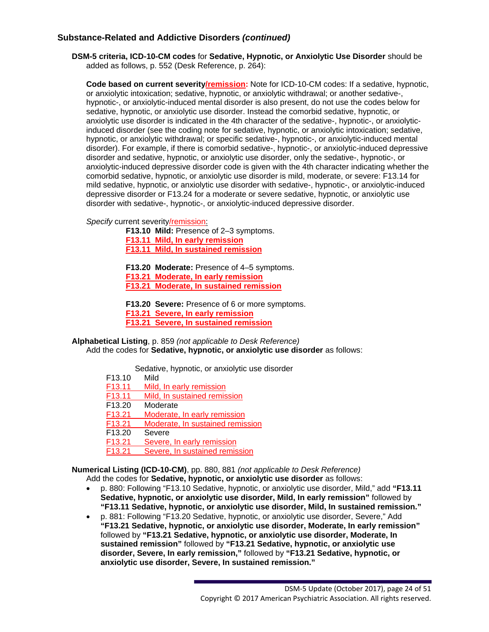**DSM-5 criteria, ICD-10-CM codes** for **Sedative, Hypnotic, or Anxiolytic Use Disorder** should be added as follows, p. 552 (Desk Reference, p. 264):

**Code based on current severity/remission:** Note for ICD-10-CM codes: If a sedative, hypnotic, or anxiolytic intoxication; sedative, hypnotic, or anxiolytic withdrawal; or another sedative-, hypnotic-, or anxiolytic-induced mental disorder is also present, do not use the codes below for sedative, hypnotic, or anxiolytic use disorder. Instead the comorbid sedative, hypnotic, or anxiolytic use disorder is indicated in the 4th character of the sedative-, hypnotic-, or anxiolyticinduced disorder (see the coding note for sedative, hypnotic, or anxiolytic intoxication; sedative, hypnotic, or anxiolytic withdrawal; or specific sedative-, hypnotic-, or anxiolytic-induced mental disorder). For example, if there is comorbid sedative-, hypnotic-, or anxiolytic-induced depressive disorder and sedative, hypnotic, or anxiolytic use disorder, only the sedative-, hypnotic-, or anxiolytic-induced depressive disorder code is given with the 4th character indicating whether the comorbid sedative, hypnotic, or anxiolytic use disorder is mild, moderate, or severe: F13.14 for mild sedative, hypnotic, or anxiolytic use disorder with sedative-, hypnotic-, or anxiolytic-induced depressive disorder or F13.24 for a moderate or severe sedative, hypnotic, or anxiolytic use disorder with sedative-, hypnotic-, or anxiolytic-induced depressive disorder.

**Specify current severity/remission:** 

**F13.10 Mild:** Presence of 2–3 symptoms. **F13.11 Mild, In early remission F13.11 Mild, In sustained remission** 

**F13.20 Moderate:** Presence of 4–5 symptoms. **F13.21 Moderate, In early remission F13.21 Moderate, In sustained remission** 

**F13.20 Severe:** Presence of 6 or more symptoms. **F13.21 Severe, In early remission F13.21 Severe, In sustained remission** 

**Alphabetical Listing**, p. 859 *(not applicable to Desk Reference)* Add the codes for **Sedative, hypnotic, or anxiolytic use disorder** as follows:

Sedative, hypnotic, or anxiolytic use disorder

F13.10 Mild

F13.11 Mild, In early remission<br>F13.11 Mild, In sustained remis

Mild, In sustained remission

F13.20 Moderate

F13.21 Moderate, In early remission

F13.21 Moderate, In sustained remission

F13.20 Severe<br>
F13.21 Severe.

Severe, In early remission

F13.21 Severe, In sustained remission

**Numerical Listing (ICD-10-CM)**, pp. 880, 881 *(not applicable to Desk Reference)*

Add the codes for **Sedative, hypnotic, or anxiolytic use disorder** as follows:

- p. 880: Following "F13.10 Sedative, hypnotic, or anxiolytic use disorder, Mild," add **"F13.11 Sedative, hypnotic, or anxiolytic use disorder, Mild, In early remission"** followed by **"F13.11 Sedative, hypnotic, or anxiolytic use disorder, Mild, In sustained remission."**
- p. 881: Following "F13.20 Sedative, hypnotic, or anxiolytic use disorder, Severe," Add **"F13.21 Sedative, hypnotic, or anxiolytic use disorder, Moderate, In early remission"** followed by **"F13.21 Sedative, hypnotic, or anxiolytic use disorder, Moderate, In sustained remission"** followed by **"F13.21 Sedative, hypnotic, or anxiolytic use disorder, Severe, In early remission,"** followed by **"F13.21 Sedative, hypnotic, or anxiolytic use disorder, Severe, In sustained remission."**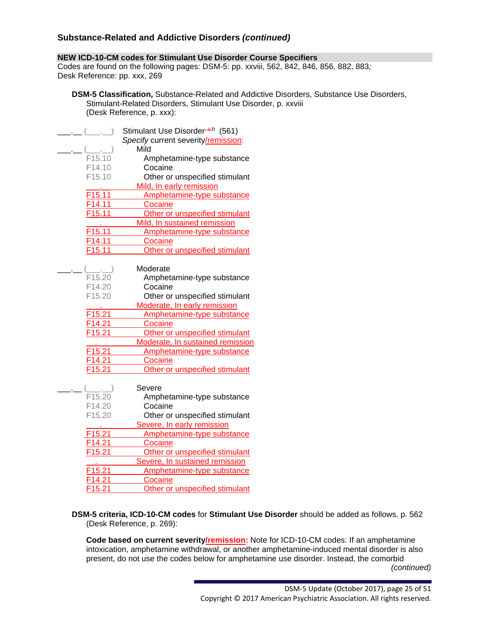## **NEW ICD-10-CM codes for Stimulant Use Disorder Course Specifiers**

Codes are found on the following pages: DSM-5: pp. xxviii, 562, 842, 846, 856, 882, 883*;*  Desk Reference: pp. xxx, 269

**DSM-5 Classification,** Substance-Related and Addictive Disorders, Substance Use Disorders, Stimulant-Related Disorders, Stimulant Use Disorder, p. xxviii (Desk Reference, p. xxx):

|                       | Stimulant Use Disorder <sup>-a,b</sup> (561) |
|-----------------------|----------------------------------------------|
|                       | Specify current severity/remission:          |
|                       | Mild                                         |
| F15.10                | Amphetamine-type substance                   |
| F14.10                | Cocaine                                      |
| F15.10                | Other or unspecified stimulant               |
|                       | Mild, In early remission                     |
| F15.11                | Amphetamine-type substance                   |
| F <sub>14.11</sub>    | Cocaine                                      |
| F <sub>15.11</sub>    | Other or unspecified stimulant               |
|                       | Mild, In sustained remission                 |
| $\overline{F15.11}$   | Amphetamine-type substance                   |
| F14.11                | Cocaine                                      |
| F15.11                | Other or unspecified stimulant               |
|                       |                                              |
| _______)              | Moderate                                     |
| F15.20                | Amphetamine-type substance                   |
| F14.20                | Cocaine                                      |
| F15.20                | Other or unspecified stimulant               |
|                       | Moderate, In early remission                 |
| F15.21                | Amphetamine-type substance                   |
| F14.21                | Cocaine                                      |
| F15.21                | Other or unspecified stimulant               |
|                       | Moderate, In sustained remission             |
| $\overline{F15.21}$   | Amphetamine-type substance                   |
| F14.21                | Cocaine                                      |
| F15.21                | Other or unspecified stimulant               |
|                       |                                              |
| $($ $,$ $)$<br>F15.20 | Severe                                       |
| F14.20                | Amphetamine-type substance<br>Cocaine        |
| F15.20                |                                              |
|                       | Other or unspecified stimulant               |
| $\overline{F15.21}$   | Severe, In early remission                   |
| F14.21                | Amphetamine-type substance<br>Cocaine        |
| F15.21                | Other or unspecified stimulant               |
|                       | Severe, In sustained remission               |
| F15.21                | Amphetamine-type substance                   |
| F <sub>14.21</sub>    | Cocaine                                      |
| F <sub>15.21</sub>    | Other or unspecified stimulant               |
|                       |                                              |

**DSM-5 criteria, ICD-10-CM codes** for **Stimulant Use Disorder** should be added as follows, p. 562 (Desk Reference, p. 269):

**Code based on current severity/remission:** Note for ICD-10-CM codes: If an amphetamine intoxication, amphetamine withdrawal, or another amphetamine-induced mental disorder is also present, do not use the codes below for amphetamine use disorder. Instead, the comorbid *(continued)*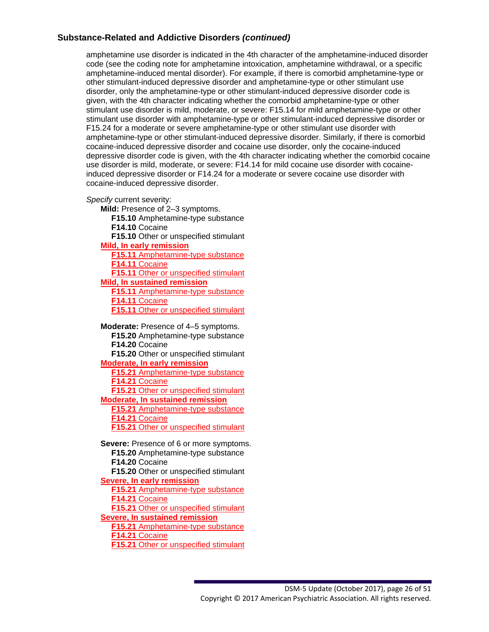amphetamine use disorder is indicated in the 4th character of the amphetamine-induced disorder code (see the coding note for amphetamine intoxication, amphetamine withdrawal, or a specific amphetamine-induced mental disorder). For example, if there is comorbid amphetamine-type or other stimulant-induced depressive disorder and amphetamine-type or other stimulant use disorder, only the amphetamine-type or other stimulant-induced depressive disorder code is given, with the 4th character indicating whether the comorbid amphetamine-type or other stimulant use disorder is mild, moderate, or severe: F15.14 for mild amphetamine-type or other stimulant use disorder with amphetamine-type or other stimulant-induced depressive disorder or F15.24 for a moderate or severe amphetamine-type or other stimulant use disorder with amphetamine-type or other stimulant-induced depressive disorder. Similarly, if there is comorbid cocaine-induced depressive disorder and cocaine use disorder, only the cocaine-induced depressive disorder code is given, with the 4th character indicating whether the comorbid cocaine use disorder is mild, moderate, or severe: F14.14 for mild cocaine use disorder with cocaineinduced depressive disorder or F14.24 for a moderate or severe cocaine use disorder with cocaine-induced depressive disorder.

*Specify* current severity:

 **Mild:** Presence of 2–3 symptoms.

**F15.10** Amphetamine-type substance

**F14.10** Cocaine

**F15.10** Other or unspecified stimulant

**Mild, In early remission** 

**F15.11** Amphetamine-type substance **F14.11** Cocaine

**F15.11** Other or unspecified stimulant **Mild, In sustained remission** 

**F15.11** Amphetamine-type substance **F14.11** Cocaine

**F15.11 Other or unspecified stimulant** 

 **Moderate:** Presence of 4–5 symptoms.

**F15.20** Amphetamine-type substance **F14.20** Cocaine

**F15.20** Other or unspecified stimulant **Moderate, In early remission** 

**F15.21** Amphetamine-type substance **F14.21** Cocaine

**F15.21 Other or unspecified stimulant** 

**Moderate, In sustained remission** 

**F15.21** Amphetamine-type substance **F14.21** Cocaine

**F15.21** Other or unspecified stimulant

 **Severe:** Presence of 6 or more symptoms. **F15.20** Amphetamine-type substance **F14.20** Cocaine

**F15.20** Other or unspecified stimulant

**Severe, In early remission** 

**F15.21** Amphetamine-type substance **F14.21** Cocaine

**F15.21** Other or unspecified stimulant **Severe, In sustained remission** 

**F15.21** Amphetamine-type substance

**F14.21** Cocaine

**F15.21** Other or unspecified stimulant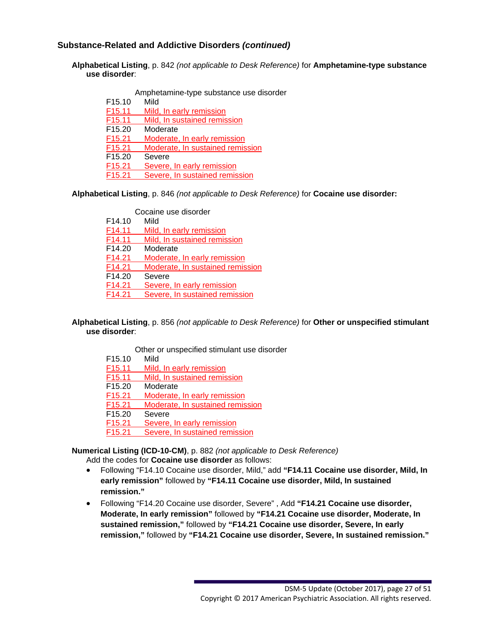**Alphabetical Listing**, p. 842 *(not applicable to Desk Reference)* for **Amphetamine-type substance use disorder**:

 Amphetamine-type substance use disorder F15.10 Mild F15.11 Mild, In early remission F15.11 Mild, In sustained remission F15.20 Moderate F15.21 Moderate, In early remission<br>F15.21 Moderate, In sustained remis Moderate, In sustained remission F15.20 Severe F15.21 Severe, In early remission F15.21 Severe, In sustained remission

**Alphabetical Listing**, p. 846 *(not applicable to Desk Reference)* for **Cocaine use disorder:**

 Cocaine use disorder F14.10 Mild F14.11 Mild, In early remission F14.11 Mild, In sustained remission F14.20 Moderate F14.21 Moderate, In early remission F14.21 Moderate, In sustained remission F14.20 Severe F14.21 Severe, In early remission F14.21 Severe, In sustained remission

**Alphabetical Listing**, p. 856 *(not applicable to Desk Reference)* for **Other or unspecified stimulant use disorder**:

 Other or unspecified stimulant use disorder F15.10 Mild F15.11 Mild, In early remission F15.11 Mild, In sustained remission F15.20 Moderate F15.21 Moderate, In early remission F15.21 Moderate, In sustained remission F15.20 Severe F15.21 Severe, In early remission F15.21 Severe, In sustained remission

#### **Numerical Listing (ICD-10-CM)**, p. 882 *(not applicable to Desk Reference)* Add the codes for **Cocaine use disorder** as follows:

 Following "F14.10 Cocaine use disorder, Mild," add **"F14.11 Cocaine use disorder, Mild, In early remission"** followed by **"F14.11 Cocaine use disorder, Mild, In sustained remission."** 

 Following "F14.20 Cocaine use disorder, Severe" , Add **"F14.21 Cocaine use disorder, Moderate, In early remission"** followed by **"F14.21 Cocaine use disorder, Moderate, In sustained remission,"** followed by **"F14.21 Cocaine use disorder, Severe, In early remission,"** followed by **"F14.21 Cocaine use disorder, Severe, In sustained remission."**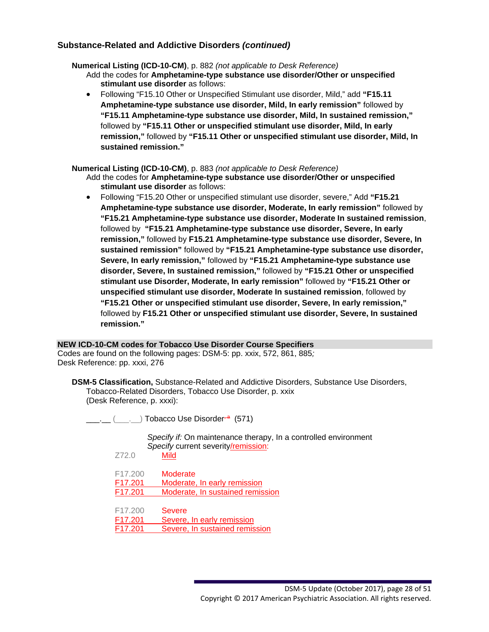**Numerical Listing (ICD-10-CM)**, p. 882 *(not applicable to Desk Reference)*

- Add the codes for **Amphetamine-type substance use disorder/Other or unspecified stimulant use disorder** as follows:
- Following "F15.10 Other or Unspecified Stimulant use disorder, Mild," add **"F15.11 Amphetamine-type substance use disorder, Mild, In early remission"** followed by **"F15.11 Amphetamine-type substance use disorder, Mild, In sustained remission,"**  followed by **"F15.11 Other or unspecified stimulant use disorder, Mild, In early remission,"** followed by **"F15.11 Other or unspecified stimulant use disorder, Mild, In sustained remission."**

#### **Numerical Listing (ICD-10-CM)**, p. 883 *(not applicable to Desk Reference)*

- Add the codes for **Amphetamine-type substance use disorder/Other or unspecified stimulant use disorder** as follows:
- Following "F15.20 Other or unspecified stimulant use disorder, severe," Add **"F15.21 Amphetamine-type substance use disorder, Moderate, In early remission"** followed by **"F15.21 Amphetamine-type substance use disorder, Moderate In sustained remission**, followed by **"F15.21 Amphetamine-type substance use disorder, Severe, In early remission,"** followed by **F15.21 Amphetamine-type substance use disorder, Severe, In sustained remission"** followed by **"F15.21 Amphetamine-type substance use disorder, Severe, In early remission,"** followed by **"F15.21 Amphetamine-type substance use disorder, Severe, In sustained remission,"** followed by **"F15.21 Other or unspecified stimulant use Disorder, Moderate, In early remission"** followed by **"F15.21 Other or unspecified stimulant use disorder, Moderate In sustained remission**, followed by **"F15.21 Other or unspecified stimulant use disorder, Severe, In early remission,"**  followed by **F15.21 Other or unspecified stimulant use disorder, Severe, In sustained remission."**

## **NEW ICD-10-CM codes for Tobacco Use Disorder Course Specifiers**

Codes are found on the following pages: DSM-5: pp. xxix, 572, 861, 885*;*  Desk Reference: pp. xxxi, 276

**DSM-5 Classification,** Substance-Related and Addictive Disorders, Substance Use Disorders, Tobacco-Related Disorders, Tobacco Use Disorder, p. xxix (Desk Reference, p. xxxi):

 $\therefore$  ) Tobacco Use Disorder, a (571)

*Specify if:* On maintenance therapy, In a controlled environment *Specify* current severity/remission: Z72.0 Mild F17.200 Moderate F17.201 Moderate, In early remission F17.201 Moderate, In sustained remission F17.200 Severe F17.201 Severe, In early remission F17.201 Severe, In sustained remission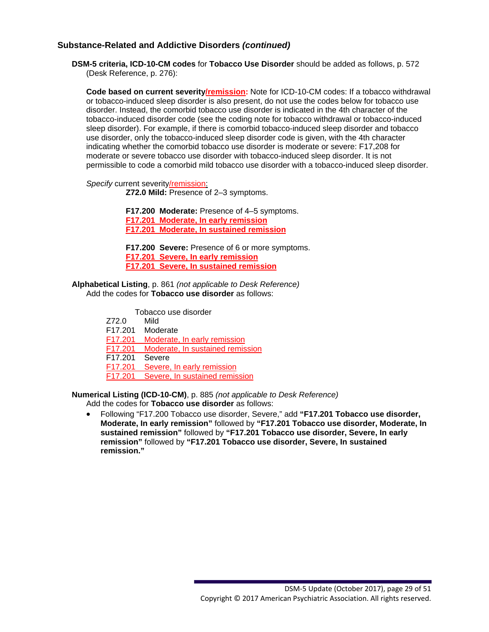**DSM-5 criteria, ICD-10-CM codes** for **Tobacco Use Disorder** should be added as follows, p. 572 (Desk Reference, p. 276):

**Code based on current severity/remission:** Note for ICD-10-CM codes: If a tobacco withdrawal or tobacco-induced sleep disorder is also present, do not use the codes below for tobacco use disorder. Instead, the comorbid tobacco use disorder is indicated in the 4th character of the tobacco-induced disorder code (see the coding note for tobacco withdrawal or tobacco-induced sleep disorder). For example, if there is comorbid tobacco-induced sleep disorder and tobacco use disorder, only the tobacco-induced sleep disorder code is given, with the 4th character indicating whether the comorbid tobacco use disorder is moderate or severe: F17,208 for moderate or severe tobacco use disorder with tobacco-induced sleep disorder. It is not permissible to code a comorbid mild tobacco use disorder with a tobacco-induced sleep disorder.

*Specify* current severity/remission:

**Z72.0 Mild:** Presence of 2–3 symptoms.

**F17.200 Moderate:** Presence of 4–5 symptoms. **F17.201 Moderate, In early remission F17.201 Moderate, In sustained remission** 

**F17.200 Severe:** Presence of 6 or more symptoms. **F17.201 Severe, In early remission F17.201 Severe, In sustained remission**

**Alphabetical Listing**, p. 861 *(not applicable to Desk Reference)* Add the codes for **Tobacco use disorder** as follows:

> Tobacco use disorder Z72.0 Mild F17.201 Moderate F17.201 Moderate, In early remission F17.201 Moderate, In sustained remission F17.201 Severe F17.201 Severe, In early remission F17.201 Severe, In sustained remission

**Numerical Listing (ICD-10-CM)**, p. 885 *(not applicable to Desk Reference)* Add the codes for **Tobacco use disorder** as follows:

 Following "F17.200 Tobacco use disorder, Severe," add **"F17.201 Tobacco use disorder, Moderate, In early remission"** followed by **"F17.201 Tobacco use disorder, Moderate, In sustained remission"** followed by **"F17.201 Tobacco use disorder, Severe, In early remission"** followed by **"F17.201 Tobacco use disorder, Severe, In sustained remission."**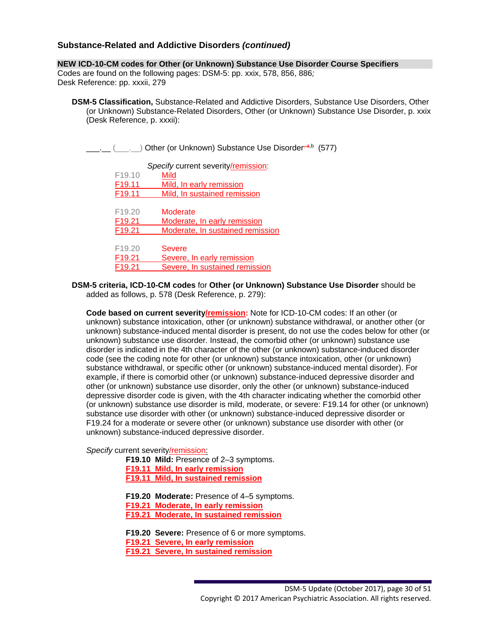**NEW ICD-10-CM codes for Other (or Unknown) Substance Use Disorder Course Specifiers**  Codes are found on the following pages: DSM-5: pp. xxix, 578, 856, 886*;* 

Desk Reference: pp. xxxii, 279

**DSM-5 Classification,** Substance-Related and Addictive Disorders, Substance Use Disorders, Other (or Unknown) Substance-Related Disorders, Other (or Unknown) Substance Use Disorder, p. xxix (Desk Reference, p. xxxii):

 $\frac{1}{1-\frac{1}{1-\frac{1}{1-\frac{1}{1-\frac{1}{1-\frac{1}{1-\frac{1}{1-\frac{1}{1-\frac{1}{1-\frac{1}{1-\frac{1}{1-\frac{1}{1-\frac{1}{1-\frac{1}{1-\frac{1}{1-\frac{1}{1-\frac{1}{1-\frac{1}{1-\frac{1}{1-\frac{1}{1-\frac{1}{1-\frac{1}{1-\frac{1}{1-\frac{1}{1-\frac{1}{1-\frac{1}{1-\frac{1}{1-\frac{1}{1-\frac{1}{1-\frac{1}{1-\frac{1}{1-\frac{1}{1-\frac{1}{1-\frac{1}{1-\frac{1}{1-\frac{1}{1-\frac{1$ 

|                    | Specify current severity/remission: |
|--------------------|-------------------------------------|
| F <sub>19.10</sub> | <b>Mild</b>                         |
| F <sub>19.11</sub> | Mild, In early remission            |
| F <sub>19.11</sub> | Mild, In sustained remission        |
|                    |                                     |
| F <sub>19.20</sub> | Moderate                            |
| F <sub>19.21</sub> | Moderate, In early remission        |
| F19.21             | Moderate, In sustained remission    |
|                    |                                     |
| F <sub>19.20</sub> | Severe                              |
| F19.21             | Severe, In early remission          |
| F <sub>19.21</sub> | Severe, In sustained remission      |
|                    |                                     |

**DSM-5 criteria, ICD-10-CM codes** for **Other (or Unknown) Substance Use Disorder** should be added as follows, p. 578 (Desk Reference, p. 279):

**Code based on current severity/remission:** Note for ICD-10-CM codes: If an other (or unknown) substance intoxication, other (or unknown) substance withdrawal, or another other (or unknown) substance-induced mental disorder is present, do not use the codes below for other (or unknown) substance use disorder. Instead, the comorbid other (or unknown) substance use disorder is indicated in the 4th character of the other (or unknown) substance-induced disorder code (see the coding note for other (or unknown) substance intoxication, other (or unknown) substance withdrawal, or specific other (or unknown) substance-induced mental disorder). For example, if there is comorbid other (or unknown) substance-induced depressive disorder and other (or unknown) substance use disorder, only the other (or unknown) substance-induced depressive disorder code is given, with the 4th character indicating whether the comorbid other (or unknown) substance use disorder is mild, moderate, or severe: F19.14 for other (or unknown) substance use disorder with other (or unknown) substance-induced depressive disorder or F19.24 for a moderate or severe other (or unknown) substance use disorder with other (or unknown) substance-induced depressive disorder.

*Specify* current severity/remission:

**F19.10 Mild:** Presence of 2–3 symptoms. **F19.11 Mild, In early remission F19.11 Mild, In sustained remission** 

**F19.20 Moderate:** Presence of 4–5 symptoms. **F19.21 Moderate, In early remission F19.21 Moderate, In sustained remission** 

**F19.20 Severe:** Presence of 6 or more symptoms. **F19.21 Severe, In early remission F19.21 Severe, In sustained remission**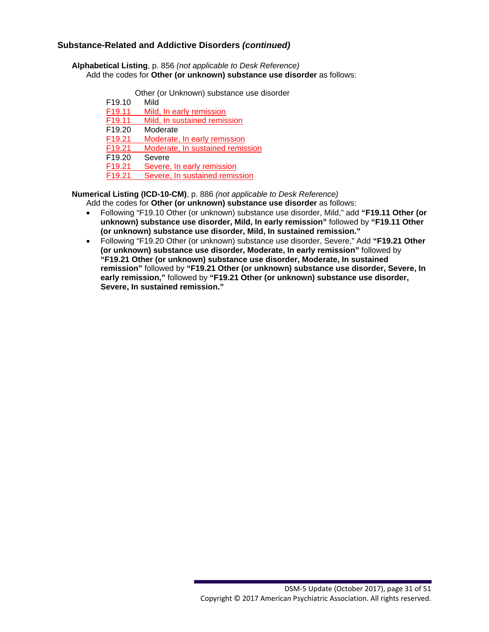#### **Alphabetical Listing**, p. 856 *(not applicable to Desk Reference)* Add the codes for **Other (or unknown) substance use disorder** as follows:

#### Other (or Unknown) substance use disorder

- F19.10 Mild
- F19.11 Mild, In early remission
- F19.11 Mild, In sustained remission
- F19.20 Moderate<br>F19.21 Moderate.
- F19.21 Moderate, In early remission<br>F19.21 Moderate, In sustained remis
- Moderate, In sustained remission
- F19.20 Severe
- F19.21 Severe, In early remission
- F19.21 Severe, In sustained remission

## **Numerical Listing (ICD-10-CM)**, p. 886 *(not applicable to Desk Reference)*

Add the codes for **Other (or unknown) substance use disorder** as follows:

- Following "F19.10 Other (or unknown) substance use disorder, Mild," add **"F19.11 Other (or unknown) substance use disorder, Mild, In early remission"** followed by **"F19.11 Other (or unknown) substance use disorder, Mild, In sustained remission."**
- Following "F19.20 Other (or unknown) substance use disorder, Severe," Add **"F19.21 Other (or unknown) substance use disorder, Moderate, In early remission"** followed by **"F19.21 Other (or unknown) substance use disorder, Moderate, In sustained remission"** followed by **"F19.21 Other (or unknown) substance use disorder, Severe, In early remission,"** followed by **"F19.21 Other (or unknown) substance use disorder, Severe, In sustained remission."**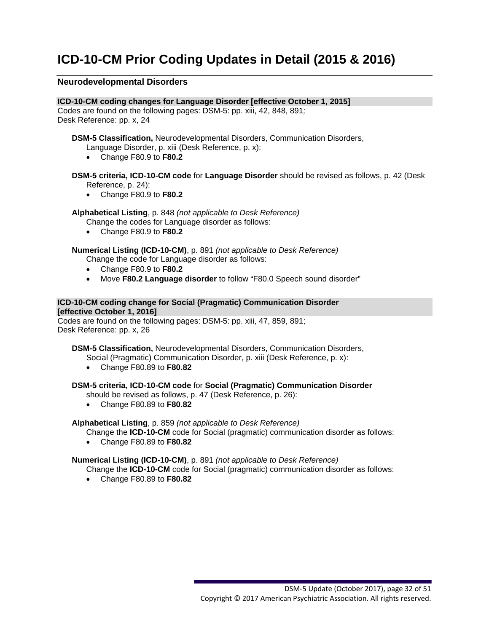# **ICD-10-CM Prior Coding Updates in Detail (2015 & 2016)**

#### **Neurodevelopmental Disorders**

#### **ICD-10-CM coding changes for Language Disorder [effective October 1, 2015]**

Codes are found on the following pages: DSM-5: pp. xiii, 42, 848, 891*;*  Desk Reference: pp. x, 24

**DSM-5 Classification,** Neurodevelopmental Disorders, Communication Disorders,

Language Disorder, p. xiii (Desk Reference, p. x):

- Change F80.9 to **F80.2**
- **DSM-5 criteria, ICD-10-CM code** for **Language Disorder** should be revised as follows, p. 42 (Desk Reference, p. 24):
	- Change F80.9 to **F80.2**

**Alphabetical Listing**, p. 848 *(not applicable to Desk Reference)*

Change the codes for Language disorder as follows:

Change F80.9 to **F80.2**

**Numerical Listing (ICD-10-CM)**, p. 891 *(not applicable to Desk Reference)*

- Change the code for Language disorder as follows:
- Change F80.9 to **F80.2**
- Move **F80.2 Language disorder** to follow "F80.0 Speech sound disorder"

#### **ICD-10-CM coding change for Social (Pragmatic) Communication Disorder [effective October 1, 2016]**

Codes are found on the following pages: DSM-5: pp. xiii, 47, 859, 891; Desk Reference: pp. x, 26

**DSM-5 Classification,** Neurodevelopmental Disorders, Communication Disorders,

Social (Pragmatic) Communication Disorder, p. xiii (Desk Reference, p. x):

Change F80.89 to **F80.82**

## **DSM-5 criteria, ICD-10-CM code** for **Social (Pragmatic) Communication Disorder**

- should be revised as follows, p. 47 (Desk Reference, p. 26):
- Change F80.89 to **F80.82**

#### **Alphabetical Listing**, p. 859 *(not applicable to Desk Reference)*

- Change the **ICD-10-CM** code for Social (pragmatic) communication disorder as follows:
- Change F80.89 to **F80.82**

#### **Numerical Listing (ICD-10-CM)**, p. 891 *(not applicable to Desk Reference)*

Change the **ICD-10-CM** code for Social (pragmatic) communication disorder as follows:

Change F80.89 to **F80.82**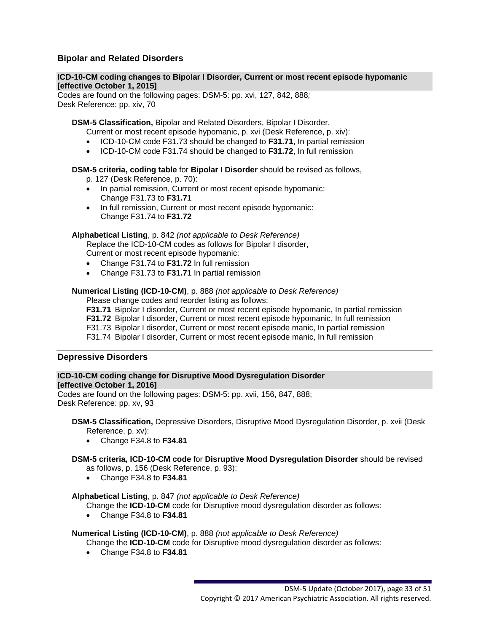## **Bipolar and Related Disorders**

#### **ICD-10-CM coding changes to Bipolar I Disorder, Current or most recent episode hypomanic [effective October 1, 2015]**

Codes are found on the following pages: DSM-5: pp. xvi, 127, 842, 888*;*  Desk Reference: pp. xiv, 70

**DSM-5 Classification,** Bipolar and Related Disorders, Bipolar I Disorder,

Current or most recent episode hypomanic, p. xvi (Desk Reference, p. xiv):

- ICD-10-CM code F31.73 should be changed to **F31.71**, In partial remission
- ICD-10-CM code F31.74 should be changed to **F31.72**, In full remission

## **DSM-5 criteria, coding table** for **Bipolar I Disorder** should be revised as follows,

- p. 127 (Desk Reference, p. 70):
- In partial remission, Current or most recent episode hypomanic: Change F31.73 to **F31.71**
- In full remission, Current or most recent episode hypomanic: Change F31.74 to **F31.72**

#### **Alphabetical Listing**, p. 842 *(not applicable to Desk Reference)*

Replace the ICD-10-CM codes as follows for Bipolar I disorder, Current or most recent episode hypomanic:

- Change F31.74 to **F31.72** In full remission
- Change F31.73 to **F31.71** In partial remission

#### **Numerical Listing (ICD-10-CM)**, p. 888 *(not applicable to Desk Reference)*

Please change codes and reorder listing as follows:

**F31.71** Bipolar I disorder, Current or most recent episode hypomanic, In partial remission

- **F31.72** Bipolar I disorder, Current or most recent episode hypomanic, In full remission
- F31.73 Bipolar I disorder, Current or most recent episode manic, In partial remission
- F31.74 Bipolar I disorder, Current or most recent episode manic, In full remission

## **Depressive Disorders**

## **ICD-10-CM coding change for Disruptive Mood Dysregulation Disorder**

**[effective October 1, 2016]** 

Codes are found on the following pages: DSM-5: pp. xvii, 156, 847, 888; Desk Reference: pp. xv, 93

**DSM-5 Classification,** Depressive Disorders, Disruptive Mood Dysregulation Disorder, p. xvii (Desk

- Reference, p. xv):
- Change F34.8 to **F34.81**

# **DSM-5 criteria, ICD-10-CM code** for **Disruptive Mood Dysregulation Disorder** should be revised

as follows, p. 156 (Desk Reference, p. 93):

Change F34.8 to **F34.81**

#### **Alphabetical Listing**, p. 847 *(not applicable to Desk Reference)*

Change the **ICD-10-CM** code for Disruptive mood dysregulation disorder as follows:

Change F34.8 to **F34.81**

## **Numerical Listing (ICD-10-CM)**, p. 888 *(not applicable to Desk Reference)*

Change the **ICD-10-CM** code for Disruptive mood dysregulation disorder as follows:

Change F34.8 to **F34.81**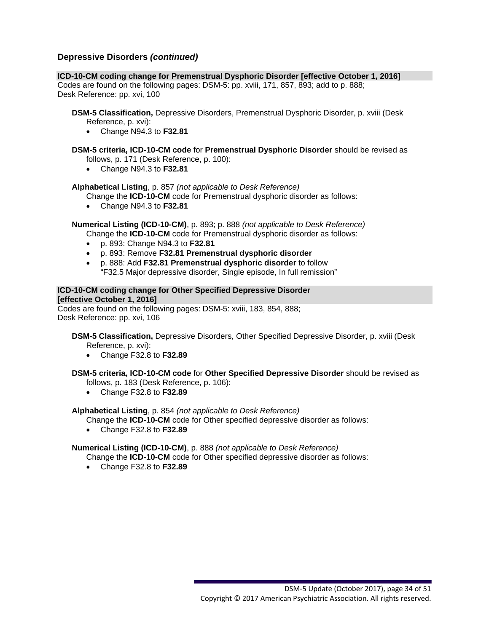## **Depressive Disorders** *(continued)*

#### **ICD-10-CM coding change for Premenstrual Dysphoric Disorder [effective October 1, 2016]**

Codes are found on the following pages: DSM-5: pp. xviii, 171, 857, 893; add to p. 888; Desk Reference: pp. xvi, 100

**DSM-5 Classification,** Depressive Disorders, Premenstrual Dysphoric Disorder, p. xviii (Desk Reference, p. xvi):

Change N94.3 to **F32.81**

#### **DSM-5 criteria, ICD-10-CM code** for **Premenstrual Dysphoric Disorder** should be revised as follows, p. 171 (Desk Reference, p. 100):

Change N94.3 to **F32.81**

#### **Alphabetical Listing**, p. 857 *(not applicable to Desk Reference)*

- Change the **ICD-10-CM** code for Premenstrual dysphoric disorder as follows:
- Change N94.3 to **F32.81**

**Numerical Listing (ICD-10-CM)**, p. 893; p. 888 *(not applicable to Desk Reference)* Change the **ICD-10-CM** code for Premenstrual dysphoric disorder as follows:

- p. 893: Change N94.3 to **F32.81**
- p. 893: Remove **F32.81 Premenstrual dysphoric disorder**
- p. 888: Add **F32.81 Premenstrual dysphoric disorder** to follow "F32.5 Major depressive disorder, Single episode, In full remission"

#### **ICD-10-CM coding change for Other Specified Depressive Disorder [effective October 1, 2016]**

Codes are found on the following pages: DSM-5: xviii, 183, 854, 888; Desk Reference: pp. xvi, 106

**DSM-5 Classification,** Depressive Disorders, Other Specified Depressive Disorder, p. xviii (Desk Reference, p. xvi):

Change F32.8 to **F32.89**

#### **DSM-5 criteria, ICD-10-CM code** for **Other Specified Depressive Disorder** should be revised as follows, p. 183 (Desk Reference, p. 106):

Change F32.8 to **F32.89**

#### **Alphabetical Listing**, p. 854 *(not applicable to Desk Reference)*

- Change the **ICD-10-CM** code for Other specified depressive disorder as follows:
- Change F32.8 to **F32.89**

#### **Numerical Listing (ICD-10-CM)**, p. 888 *(not applicable to Desk Reference)*

Change the **ICD-10-CM** code for Other specified depressive disorder as follows:

Change F32.8 to **F32.89**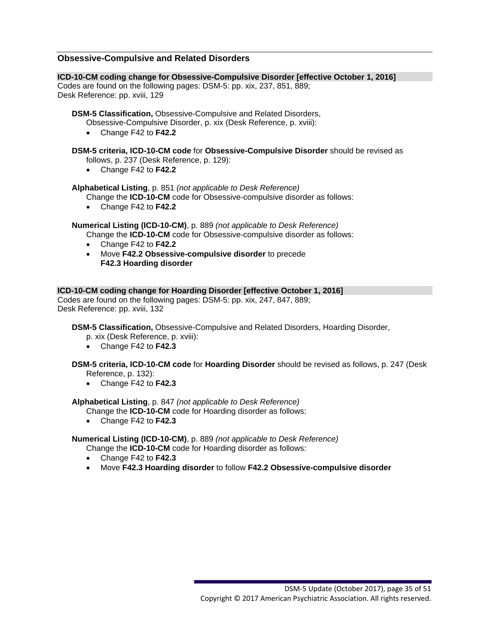## **Obsessive-Compulsive and Related Disorders**

#### **ICD-10-CM coding change for Obsessive-Compulsive Disorder [effective October 1, 2016]**

Codes are found on the following pages: DSM-5: pp. xix, 237, 851, 889; Desk Reference: pp. xviii, 129

**DSM-5 Classification,** Obsessive-Compulsive and Related Disorders,

Obsessive-Compulsive Disorder, p. xix (Desk Reference, p. xviii):

Change F42 to **F42.2**

#### **DSM-5 criteria, ICD-10-CM code** for **Obsessive-Compulsive Disorder** should be revised as follows, p. 237 (Desk Reference, p. 129):

Change F42 to **F42.2**

#### **Alphabetical Listing**, p. 851 *(not applicable to Desk Reference)*

- Change the **ICD-10-CM** code for Obsessive-compulsive disorder as follows:
- Change F42 to **F42.2**

**Numerical Listing (ICD-10-CM)**, p. 889 *(not applicable to Desk Reference)*

- Change the **ICD-10-CM** code for Obsessive-compulsive disorder as follows:
- Change F42 to **F42.2**
- Move **F42.2 Obsessive-compulsive disorder** to precede **F42.3 Hoarding disorder**

#### **ICD-10-CM coding change for Hoarding Disorder [effective October 1, 2016]**

Codes are found on the following pages: DSM-5: pp. xix, 247, 847, 889; Desk Reference: pp. xviii, 132

**DSM-5 Classification,** Obsessive-Compulsive and Related Disorders, Hoarding Disorder,

p. xix (Desk Reference, p. xviii):

Change F42 to **F42.3**

#### **DSM-5 criteria, ICD-10-CM code** for **Hoarding Disorder** should be revised as follows, p. 247 (Desk Reference, p. 132):

Change F42 to **F42.3**

#### **Alphabetical Listing**, p. 847 *(not applicable to Desk Reference)*

Change the **ICD-10-CM** code for Hoarding disorder as follows:

Change F42 to **F42.3**

#### **Numerical Listing (ICD-10-CM)**, p. 889 *(not applicable to Desk Reference)*

Change the **ICD-10-CM** code for Hoarding disorder as follows:

- Change F42 to **F42.3**
- Move **F42.3 Hoarding disorder** to follow **F42.2 Obsessive-compulsive disorder**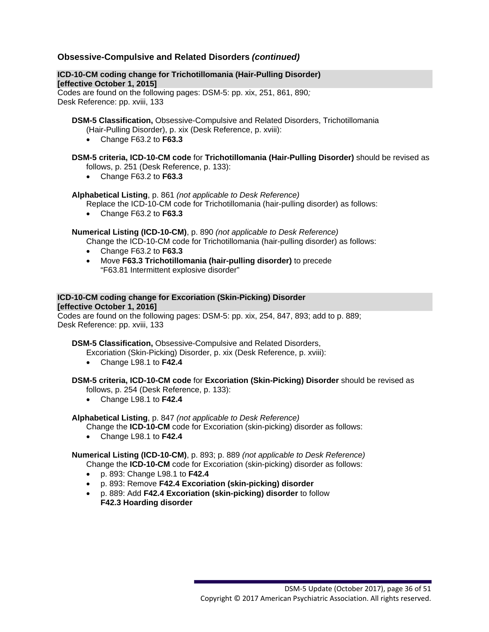## **Obsessive-Compulsive and Related Disorders** *(continued)*

#### **ICD-10-CM coding change for Trichotillomania (Hair-Pulling Disorder) [effective October 1, 2015]**

Codes are found on the following pages: DSM-5: pp. xix, 251, 861, 890*;*  Desk Reference: pp. xviii, 133

#### **DSM-5 Classification,** Obsessive-Compulsive and Related Disorders, Trichotillomania

(Hair-Pulling Disorder), p. xix (Desk Reference, p. xviii):

Change F63.2 to **F63.3** 

#### **DSM-5 criteria, ICD-10-CM code** for **Trichotillomania (Hair-Pulling Disorder)** should be revised as follows, p. 251 (Desk Reference, p. 133):

Change F63.2 to **F63.3** 

#### **Alphabetical Listing**, p. 861 *(not applicable to Desk Reference)*

Replace the ICD-10-CM code for Trichotillomania (hair-pulling disorder) as follows:

Change F63.2 to **F63.3** 

#### **Numerical Listing (ICD-10-CM)**, p. 890 *(not applicable to Desk Reference)*

Change the ICD-10-CM code for Trichotillomania (hair-pulling disorder) as follows:

- Change F63.2 to **F63.3**
- Move **F63.3 Trichotillomania (hair-pulling disorder)** to precede "F63.81 Intermittent explosive disorder"

#### **ICD-10-CM coding change for Excoriation (Skin-Picking) Disorder [effective October 1, 2016]**

Codes are found on the following pages: DSM-5: pp. xix, 254, 847, 893; add to p. 889; Desk Reference: pp. xviii, 133

#### **DSM-5 Classification,** Obsessive-Compulsive and Related Disorders,

Excoriation (Skin-Picking) Disorder, p. xix (Desk Reference, p. xviii):

Change L98.1 to **F42.4**

## **DSM-5 criteria, ICD-10-CM code** for **Excoriation (Skin-Picking) Disorder** should be revised as

follows, p. 254 (Desk Reference, p. 133):

Change L98.1 to **F42.4**

#### **Alphabetical Listing**, p. 847 *(not applicable to Desk Reference)*

Change the **ICD-10-CM** code for Excoriation (skin-picking) disorder as follows:

Change L98.1 to **F42.4**

## **Numerical Listing (ICD-10-CM)**, p. 893; p. 889 *(not applicable to Desk Reference)*

Change the **ICD-10-CM** code for Excoriation (skin-picking) disorder as follows:

- p. 893: Change L98.1 to **F42.4**
- p. 893: Remove **F42.4 Excoriation (skin-picking) disorder**
- p. 889: Add **F42.4 Excoriation (skin-picking) disorder** to follow **F42.3 Hoarding disorder**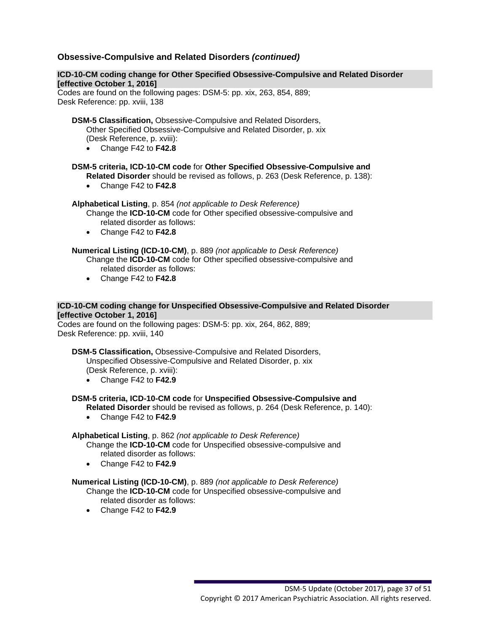## **Obsessive-Compulsive and Related Disorders** *(continued)*

### **ICD-10-CM coding change for Other Specified Obsessive-Compulsive and Related Disorder [effective October 1, 2016]**

Codes are found on the following pages: DSM-5: pp. xix, 263, 854, 889; Desk Reference: pp. xviii, 138

### **DSM-5 Classification,** Obsessive-Compulsive and Related Disorders,

Other Specified Obsessive-Compulsive and Related Disorder, p. xix (Desk Reference, p. xviii):

Change F42 to **F42.8**

## **DSM-5 criteria, ICD-10-CM code** for **Other Specified Obsessive-Compulsive and**

**Related Disorder** should be revised as follows, p. 263 (Desk Reference, p. 138):

Change F42 to **F42.8**

#### **Alphabetical Listing**, p. 854 *(not applicable to Desk Reference)*

Change the **ICD-10-CM** code for Other specified obsessive-compulsive and

- related disorder as follows:
- Change F42 to **F42.8**

#### **Numerical Listing (ICD-10-CM)**, p. 889 *(not applicable to Desk Reference)*

- Change the **ICD-10-CM** code for Other specified obsessive-compulsive and related disorder as follows:
- Change F42 to **F42.8**

#### **ICD-10-CM coding change for Unspecified Obsessive-Compulsive and Related Disorder [effective October 1, 2016]**

Codes are found on the following pages: DSM-5: pp. xix, 264, 862, 889; Desk Reference: pp. xviii, 140

#### **DSM-5 Classification,** Obsessive-Compulsive and Related Disorders,

Unspecified Obsessive-Compulsive and Related Disorder, p. xix (Desk Reference, p. xviii):

Change F42 to **F42.9**

## **DSM-5 criteria, ICD-10-CM code** for **Unspecified Obsessive-Compulsive and**

**Related Disorder** should be revised as follows, p. 264 (Desk Reference, p. 140):

Change F42 to **F42.9**

#### **Alphabetical Listing**, p. 862 *(not applicable to Desk Reference)*

- Change the **ICD-10-CM** code for Unspecified obsessive-compulsive and related disorder as follows:
- Change F42 to **F42.9**

#### **Numerical Listing (ICD-10-CM)**, p. 889 *(not applicable to Desk Reference)*

Change the **ICD-10-CM** code for Unspecified obsessive-compulsive and related disorder as follows:

Change F42 to **F42.9**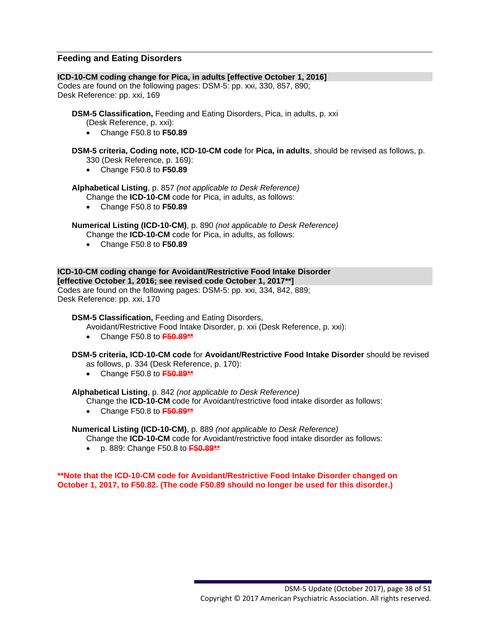## **Feeding and Eating Disorders**

#### **ICD-10-CM coding change for Pica, in adults [effective October 1, 2016]**

Codes are found on the following pages: DSM-5: pp. xxi, 330, 857, 890; Desk Reference: pp. xxi, 169

#### **DSM-5 Classification,** Feeding and Eating Disorders, Pica, in adults, p. xxi

(Desk Reference, p. xxi):

Change F50.8 to **F50.89**

#### **DSM-5 criteria, Coding note, ICD-10-CM code** for **Pica, in adults**, should be revised as follows, p. 330 (Desk Reference, p. 169):

Change F50.8 to **F50.89**

#### **Alphabetical Listing**, p. 857 *(not applicable to Desk Reference)*

- Change the **ICD-10-CM** code for Pica, in adults, as follows:
- Change F50.8 to **F50.89**

#### **Numerical Listing (ICD-10-CM)**, p. 890 *(not applicable to Desk Reference)*

- Change the **ICD-10-CM** code for Pica, in adults, as follows:
- Change F50.8 to **F50.89**

## **ICD-10-CM coding change for Avoidant/Restrictive Food Intake Disorder**

**[effective October 1, 2016; see revised code October 1, 2017\*\*]** 

Codes are found on the following pages: DSM-5: pp. xxi, 334, 842, 889; Desk Reference: pp. xxi, 170

#### **DSM-5 Classification,** Feeding and Eating Disorders,

Avoidant/Restrictive Food Intake Disorder, p. xxi (Desk Reference, p. xxi):

Change F50.8 to **F50.89\*\***

## **DSM-5 criteria, ICD-10-CM code** for **Avoidant/Restrictive Food Intake Disorder** should be revised

as follows, p. 334 (Desk Reference, p. 170):

Change F50.8 to **F50.89\*\***

#### **Alphabetical Listing**, p. 842 *(not applicable to Desk Reference)*

Change the **ICD-10-CM** code for Avoidant/restrictive food intake disorder as follows:

Change F50.8 to **F50.89\*\***

#### **Numerical Listing (ICD-10-CM)**, p. 889 *(not applicable to Desk Reference)*

Change the **ICD-10-CM** code for Avoidant/restrictive food intake disorder as follows:

p. 889: Change F50.8 to **F50.89\*\***

#### **\*\*Note that the ICD-10-CM code for Avoidant/Restrictive Food Intake Disorder changed on October 1, 2017, to F50.82. (The code F50.89 should no longer be used for this disorder.)**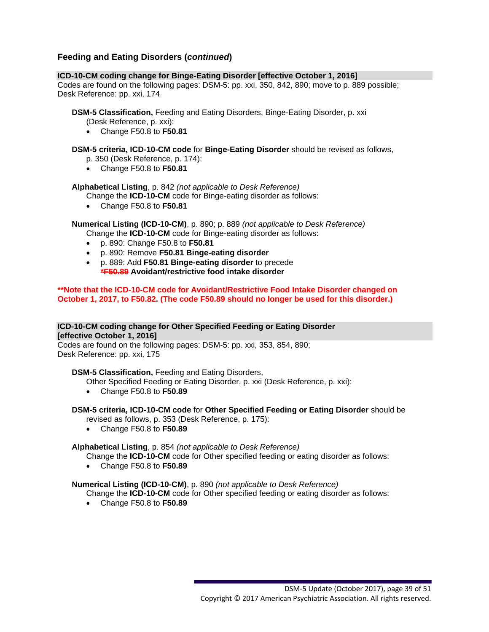## **Feeding and Eating Disorders (***continued***)**

#### **ICD-10-CM coding change for Binge-Eating Disorder [effective October 1, 2016]**

Codes are found on the following pages: DSM-5: pp. xxi, 350, 842, 890; move to p. 889 possible; Desk Reference: pp. xxi, 174

**DSM-5 Classification,** Feeding and Eating Disorders, Binge-Eating Disorder, p. xxi

(Desk Reference, p. xxi):

Change F50.8 to **F50.81**

#### **DSM-5 criteria, ICD-10-CM code** for **Binge-Eating Disorder** should be revised as follows,

- p. 350 (Desk Reference, p. 174):
- Change F50.8 to **F50.81**

#### **Alphabetical Listing**, p. 842 *(not applicable to Desk Reference)*

- Change the **ICD-10-CM** code for Binge-eating disorder as follows:
- Change F50.8 to **F50.81**

**Numerical Listing (ICD-10-CM)**, p. 890; p. 889 *(not applicable to Desk Reference)* Change the **ICD-10-CM** code for Binge-eating disorder as follows:

- p. 890: Change F50.8 to **F50.81**
- p. 890: Remove **F50.81 Binge-eating disorder**
- p. 889: Add **F50.81 Binge-eating disorder** to precede **\*F50.89 Avoidant/restrictive food intake disorder**

#### **\*\*Note that the ICD-10-CM code for Avoidant/Restrictive Food Intake Disorder changed on October 1, 2017, to F50.82. (The code F50.89 should no longer be used for this disorder.)**

## **ICD-10-CM coding change for Other Specified Feeding or Eating Disorder**

**[effective October 1, 2016]** 

Codes are found on the following pages: DSM-5: pp. xxi, 353, 854, 890; Desk Reference: pp. xxi, 175

#### **DSM-5 Classification,** Feeding and Eating Disorders,

- Other Specified Feeding or Eating Disorder, p. xxi (Desk Reference, p. xxi):
- Change F50.8 to **F50.89**

#### **DSM-5 criteria, ICD-10-CM code** for **Other Specified Feeding or Eating Disorder** should be

- revised as follows, p. 353 (Desk Reference, p. 175):
- Change F50.8 to **F50.89**

#### **Alphabetical Listing**, p. 854 *(not applicable to Desk Reference)*

Change the **ICD-10-CM** code for Other specified feeding or eating disorder as follows:

Change F50.8 to **F50.89**

#### **Numerical Listing (ICD-10-CM)**, p. 890 *(not applicable to Desk Reference)*

Change the **ICD-10-CM** code for Other specified feeding or eating disorder as follows:

Change F50.8 to **F50.89**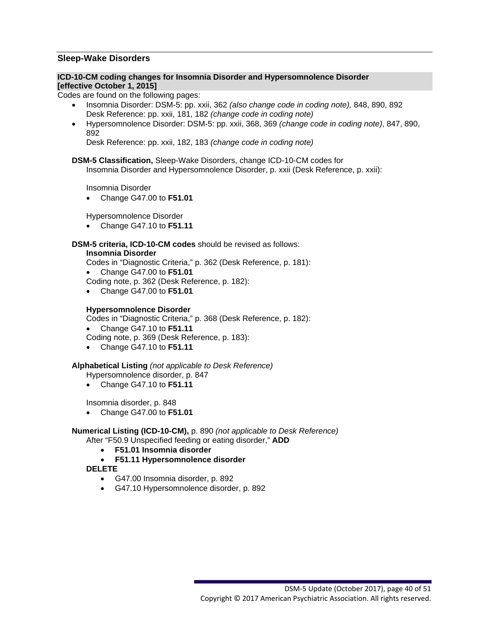## **Sleep-Wake Disorders**

#### **ICD-10-CM coding changes for Insomnia Disorder and Hypersomnolence Disorder [effective October 1, 2015]**

Codes are found on the following pages:

- Insomnia Disorder: DSM-5: pp. xxii, 362 *(also change code in coding note),* 848, 890, 892 Desk Reference: pp. xxii, 181, 182 *(change code in coding note)*
- Hypersomnolence Disorder: DSM-5: pp. xxii, 368, 369 *(change code in coding note)*, 847, 890, 892

Desk Reference: pp. xxii, 182, 183 *(change code in coding note)*

**DSM-5 Classification,** Sleep-Wake Disorders, change ICD-10-CM codes for

Insomnia Disorder and Hypersomnolence Disorder, p. xxii (Desk Reference, p. xxii):

Insomnia Disorder

Change G47.00 to **F51.01**

Hypersomnolence Disorder

Change G47.10 to **F51.11**

#### **DSM-5 criteria, ICD-10-CM codes** should be revised as follows:

**Insomnia Disorder** 

- Codes in "Diagnostic Criteria," p. 362 (Desk Reference, p. 181):
- Change G47.00 to **F51.01** Coding note, p. 362 (Desk Reference, p. 182):
- Change G47.00 to **F51.01**

## **Hypersomnolence Disorder**

Codes in "Diagnostic Criteria," p. 368 (Desk Reference, p. 182):

Change G47.10 to **F51.11**

Coding note, p. 369 (Desk Reference, p. 183):

Change G47.10 to **F51.11**

#### **Alphabetical Listing** *(not applicable to Desk Reference)*

Hypersomnolence disorder, p. 847

Change G47.10 to **F51.11**

Insomnia disorder, p. 848

Change G47.00 to **F51.01**

#### **Numerical Listing (ICD-10-CM),** p. 890 *(not applicable to Desk Reference)*

After "F50.9 Unspecified feeding or eating disorder," **ADD**

- **F51.01 Insomnia disorder**
- **F51.11 Hypersomnolence disorder**

**DELETE** 

- G47.00 Insomnia disorder, p. 892
- G47.10 Hypersomnolence disorder, p. 892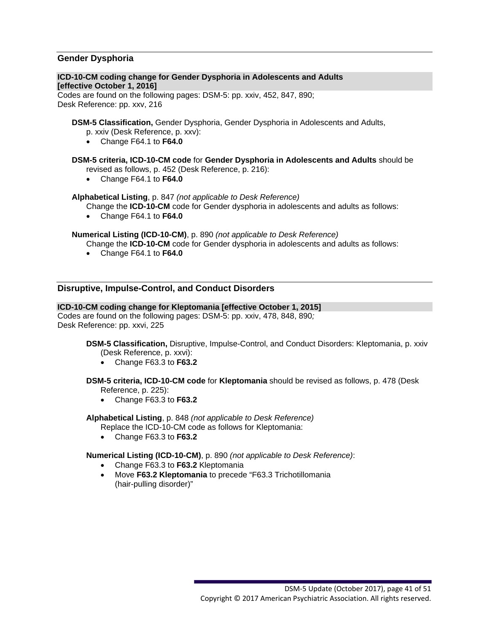## **Gender Dysphoria**

#### **ICD-10-CM coding change for Gender Dysphoria in Adolescents and Adults [effective October 1, 2016]**

Codes are found on the following pages: DSM-5: pp. xxiv, 452, 847, 890; Desk Reference: pp. xxv, 216

#### **DSM-5 Classification,** Gender Dysphoria, Gender Dysphoria in Adolescents and Adults,

- p. xxiv (Desk Reference, p. xxv):
- Change F64.1 to **F64.0**

## **DSM-5 criteria, ICD-10-CM code** for **Gender Dysphoria in Adolescents and Adults** should be

- revised as follows, p. 452 (Desk Reference, p. 216):
- Change F64.1 to **F64.0**

**Alphabetical Listing**, p. 847 *(not applicable to Desk Reference)*

- Change the **ICD-10-CM** code for Gender dysphoria in adolescents and adults as follows:
- Change F64.1 to **F64.0**

#### **Numerical Listing (ICD-10-CM)**, p. 890 *(not applicable to Desk Reference)*

Change the **ICD-10-CM** code for Gender dysphoria in adolescents and adults as follows:

Change F64.1 to **F64.0**

## **Disruptive, Impulse-Control, and Conduct Disorders**

#### **ICD-10-CM coding change for Kleptomania [effective October 1, 2015]**

Codes are found on the following pages: DSM-5: pp. xxiv, 478, 848, 890*;*  Desk Reference: pp. xxvi, 225

> **DSM-5 Classification,** Disruptive, Impulse-Control, and Conduct Disorders: Kleptomania, p. xxiv (Desk Reference, p. xxvi):

- 
- Change F63.3 to **F63.2**

#### **DSM-5 criteria, ICD-10-CM code** for **Kleptomania** should be revised as follows, p. 478 (Desk Reference, p. 225):

Change F63.3 to **F63.2** 

**Alphabetical Listing**, p. 848 *(not applicable to Desk Reference)*

Replace the ICD-10-CM code as follows for Kleptomania:

Change F63.3 to **F63.2** 

#### **Numerical Listing (ICD-10-CM)**, p. 890 *(not applicable to Desk Reference)*:

- Change F63.3 to **F63.2** Kleptomania
- Move **F63.2 Kleptomania** to precede "F63.3 Trichotillomania (hair-pulling disorder)"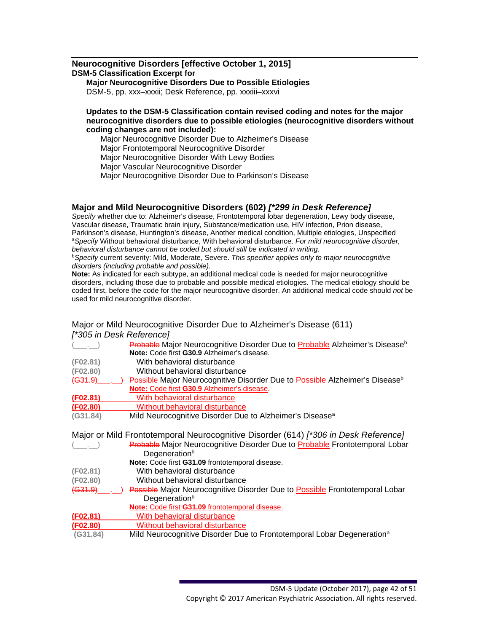**Neurocognitive Disorders [effective October 1, 2015] DSM-5 Classification Excerpt for** 

**Major Neurocognitive Disorders Due to Possible Etiologies** 

DSM-5, pp. xxx–xxxii; Desk Reference, pp. xxxiii–xxxvi

#### **Updates to the DSM-5 Classification contain revised coding and notes for the major neurocognitive disorders due to possible etiologies (neurocognitive disorders without coding changes are not included):**

Major Neurocognitive Disorder Due to Alzheimer's Disease Major Frontotemporal Neurocognitive Disorder Major Neurocognitive Disorder With Lewy Bodies Major Vascular Neurocognitive Disorder Major Neurocognitive Disorder Due to Parkinson's Disease

## **Major and Mild Neurocognitive Disorders (602)** *[\*299 in Desk Reference]*

*Specify* whether due to: Alzheimer's disease, Frontotemporal lobar degeneration, Lewy body disease, Vascular disease, Traumatic brain injury, Substance/medication use, HIV infection, Prion disease, <sup>a</sup>Specify Without behavioral disturbance, With behavioral disturbance. *For mild neurocognitive disorder, behavioral disturbance cannot be coded but should still be indicated in writing.* 

<sup>b</sup>*Specify* current severity: Mild, Moderate, Severe. *This specifier applies only to major neurocognitive disorders (including probable and possible).* 

**Note:** As indicated for each subtype, an additional medical code is needed for major neurocognitive disorders, including those due to probable and possible medical etiologies. The medical etiology should be coded first, before the code for the major neurocognitive disorder. An additional medical code should *not* be used for mild neurocognitive disorder.

#### Major or Mild Neurocognitive Disorder Due to Alzheimer's Disease (611) *[\*305 in Desk Reference]*

| <u>I JUJ III DESKINGIGIDILGI</u> |                                                                                   |
|----------------------------------|-----------------------------------------------------------------------------------|
| $($ $, )$                        | <b>Probable Major Neurocognitive Disorder Due to Probable Alzheimer's Disease</b> |
|                                  | Note: Code first G30.9 Alzheimer's disease.                                       |
| (F02.81)                         | With behavioral disturbance                                                       |
| (F02.80)                         | Without behavioral disturbance                                                    |
| $(G31.9)$                        | Possible Major Neurocognitive Disorder Due to Possible Alzheimer's Diseaseb       |
|                                  | Note: Code first G30.9 Alzheimer's disease.                                       |
| (F02.81)                         | With behavioral disturbance                                                       |
| (F02.80)                         | Without behavioral disturbance                                                    |
| (G31.84)                         | Mild Neurocognitive Disorder Due to Alzheimer's Disease <sup>a</sup>              |

Major or Mild Frontotemporal Neurocognitive Disorder (614) *[\*306 in Desk Reference]*

|          | <b>Probable Major Neurocognitive Disorder Due to Probable Frontotemporal Lobar</b> |
|----------|------------------------------------------------------------------------------------|
|          | Degeneration <sup>b</sup>                                                          |
|          | Note: Code first G31.09 frontotemporal disease.                                    |
| (F02.81) | With behavioral disturbance                                                        |
| (F02.80) | Without behavioral disturbance                                                     |
| (631.9)  | <b>Possible Major Neurocognitive Disorder Due to Possible Frontotemporal Lobar</b> |
|          | Degeneration <sup>b</sup>                                                          |
|          | Note: Code first G31.09 frontotemporal disease.                                    |
| (F02.81) | With behavioral disturbance                                                        |
| (F02.80) | Without behavioral disturbance                                                     |
| (G31.84) | Mild Neurocognitive Disorder Due to Frontotemporal Lobar Degeneration <sup>a</sup> |
|          |                                                                                    |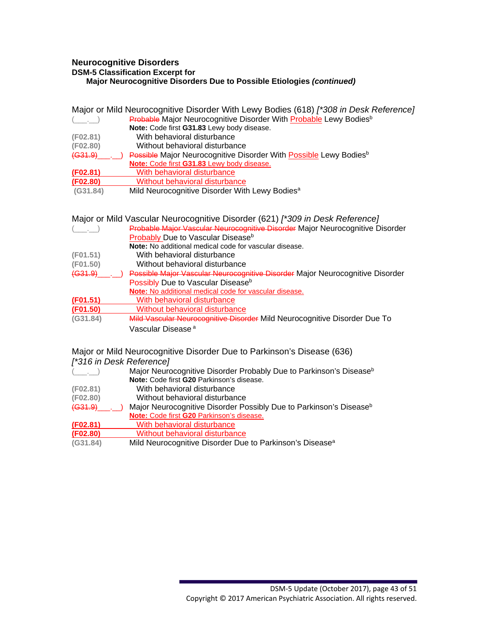### **Neurocognitive Disorders DSM-5 Classification Excerpt for Major Neurocognitive Disorders Due to Possible Etiologies** *(continued)*

Major or Mild Neurocognitive Disorder With Lewy Bodies (618) *[\*308 in Desk Reference]*

| $($ $,$     | Probable Major Neurocognitive Disorder With Probable Lewy Bodies <sup>b</sup> |
|-------------|-------------------------------------------------------------------------------|
|             | Note: Code first G31.83 Lewy body disease.                                    |
| (F02.81)    | With behavioral disturbance                                                   |
| (F02.80)    | Without behavioral disturbance                                                |
| $(G31.9)$ . | Possible Major Neurocognitive Disorder With Possible Lewy Bodies <sup>b</sup> |
|             | Note: Code first G31.83 Lewy body disease.                                    |
| (F02.81)    | With behavioral disturbance                                                   |
| (F02.80)    | Without behavioral disturbance                                                |
| (G31.84)    | Mild Neurocognitive Disorder With Lewy Bodies <sup>a</sup>                    |

## Major or Mild Vascular Neurocognitive Disorder (621) *[\*309 in Desk Reference]*

|          | $1000$ of this vacuum requestion of $2000$ and $1000$ and $1000$ in Doon requests |
|----------|-----------------------------------------------------------------------------------|
|          | Probable Major Vascular Neurocognitive Disorder Major Neurocognitive Disorder     |
|          | Probably Due to Vascular Disease <sup>b</sup>                                     |
|          | Note: No additional medical code for vascular disease.                            |
| (F01.51) | With behavioral disturbance                                                       |
| (F01.50) | Without behavioral disturbance                                                    |
| (631.9)  | Possible Major Vascular Neurocognitive Disorder Major Neurocognitive Disorder     |
|          | Possibly Due to Vascular Disease <sup>b</sup>                                     |
|          | <b>Note:</b> No additional medical code for vascular disease.                     |
| (F01.51) | With behavioral disturbance                                                       |
| (F01.50) | Without behavioral disturbance                                                    |
| (G31.84) | Mild Vascular Neurocognitive Disorder Mild Neurocognitive Disorder Due To         |
|          | Vascular Disease <sup>a</sup>                                                     |

Major or Mild Neurocognitive Disorder Due to Parkinson's Disease (636) *[\*316 in Desk Reference]*

|           | Major Neurocognitive Disorder Probably Due to Parkinson's Disease <sup>b</sup><br>Note: Code first G20 Parkinson's disease. |
|-----------|-----------------------------------------------------------------------------------------------------------------------------|
| (F02.81)  | With behavioral disturbance                                                                                                 |
| (F02.80)  | Without behavioral disturbance                                                                                              |
| $(G31.9)$ | Major Neurocognitive Disorder Possibly Due to Parkinson's Disease <sup>b</sup>                                              |
|           | Note: Code first G20 Parkinson's disease.                                                                                   |
| (F02.81)  | <b>With behavioral disturbance</b>                                                                                          |
| (F02.80)  | Without behavioral disturbance                                                                                              |
| (G31.84)  | Mild Neurocognitive Disorder Due to Parkinson's Disease <sup>a</sup>                                                        |
|           |                                                                                                                             |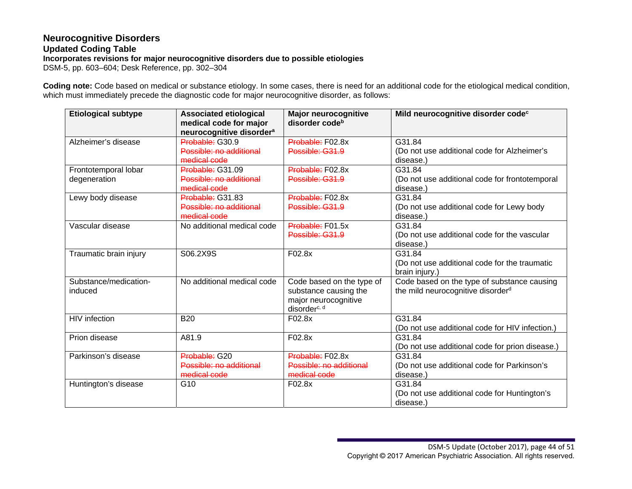## **Neurocognitive Disorders Updated Coding Table Incorporates revisions for major neurocognitive disorders due to possible etiologies**

DSM-5, pp. 603–604; Desk Reference, pp. 302–304

**Coding note:** Code based on medical or substance etiology. In some cases, there is need for an additional code for the etiological medical condition, which must immediately precede the diagnostic code for major neurocognitive disorder, as follows:

| <b>Etiological subtype</b>           | <b>Associated etiological</b><br>medical code for major<br>neurocognitive disorder <sup>a</sup> | <b>Major neurocognitive</b><br>disorder code <sup>b</sup>                                              | Mild neurocognitive disorder code <sup>c</sup>                                               |
|--------------------------------------|-------------------------------------------------------------------------------------------------|--------------------------------------------------------------------------------------------------------|----------------------------------------------------------------------------------------------|
| Alzheimer's disease                  | Probable: G30.9<br>Possible: no additional<br>medical code                                      | Probable: F02.8x<br>Possible: G31.9                                                                    | G31.84<br>(Do not use additional code for Alzheimer's<br>disease.)                           |
| Frontotemporal lobar<br>degeneration | Probable: G31.09<br>Possible: no additional<br>medical code                                     | Probable: F02.8x<br>Possible: G31.9                                                                    | G31.84<br>(Do not use additional code for frontotemporal<br>disease.)                        |
| Lewy body disease                    | Probable: G31.83<br>Possible: no additional<br>medical code                                     | Probable: F02.8x<br>Possible: G31.9                                                                    | G31.84<br>(Do not use additional code for Lewy body<br>disease.)                             |
| Vascular disease                     | No additional medical code                                                                      | Probable: F01.5x<br>Possible: G31.9                                                                    | G31.84<br>(Do not use additional code for the vascular<br>disease.)                          |
| Traumatic brain injury               | S06.2X9S                                                                                        | F02.8x                                                                                                 | G31.84<br>(Do not use additional code for the traumatic<br>brain injury.)                    |
| Substance/medication-<br>induced     | No additional medical code                                                                      | Code based on the type of<br>substance causing the<br>major neurocognitive<br>disorder <sup>c, d</sup> | Code based on the type of substance causing<br>the mild neurocognitive disorder <sup>d</sup> |
| <b>HIV</b> infection                 | <b>B20</b>                                                                                      | F02.8x                                                                                                 | G31.84<br>(Do not use additional code for HIV infection.)                                    |
| Prion disease                        | A81.9                                                                                           | F02.8x                                                                                                 | G31.84<br>(Do not use additional code for prion disease.)                                    |
| Parkinson's disease                  | Probable: G20<br>Possible: no additional<br>medical code                                        | Probable: F02.8x<br>Possible: no additional<br>medical code                                            | G31.84<br>(Do not use additional code for Parkinson's<br>disease.)                           |
| Huntington's disease                 | G10                                                                                             | F02.8x                                                                                                 | G31.84<br>(Do not use additional code for Huntington's<br>disease.)                          |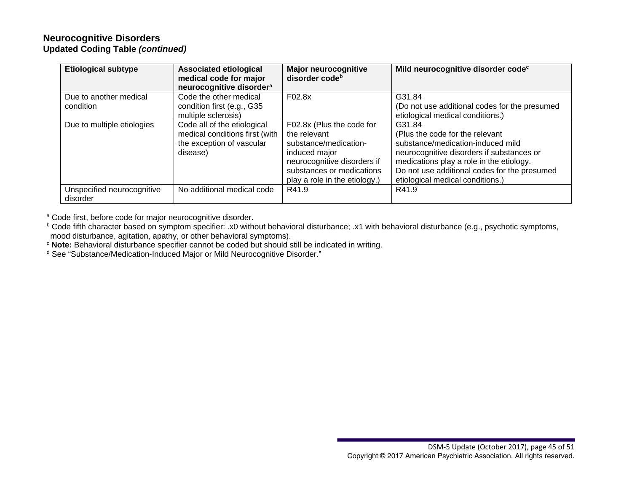## **Neurocognitive Disorders Updated Coding Table** *(continued)*

| <b>Etiological subtype</b>             | <b>Associated etiological</b><br>medical code for major<br>neurocognitive disorder <sup>a</sup>        | <b>Major neurocognitive</b><br>disorder code <sup>b</sup>                                                                                                                        | Mild neurocognitive disorder code <sup>c</sup>                                                                                                                                                                                                              |
|----------------------------------------|--------------------------------------------------------------------------------------------------------|----------------------------------------------------------------------------------------------------------------------------------------------------------------------------------|-------------------------------------------------------------------------------------------------------------------------------------------------------------------------------------------------------------------------------------------------------------|
| Due to another medical<br>condition    | Code the other medical<br>condition first (e.g., G35<br>multiple sclerosis)                            | F02.8x                                                                                                                                                                           | G31.84<br>(Do not use additional codes for the presumed<br>etiological medical conditions.)                                                                                                                                                                 |
| Due to multiple etiologies             | Code all of the etiological<br>medical conditions first (with<br>the exception of vascular<br>disease) | F02.8x (Plus the code for<br>the relevant<br>substance/medication-<br>induced major<br>neurocognitive disorders if<br>substances or medications<br>play a role in the etiology.) | G31.84<br>(Plus the code for the relevant<br>substance/medication-induced mild<br>neurocognitive disorders if substances or<br>medications play a role in the etiology.<br>Do not use additional codes for the presumed<br>etiological medical conditions.) |
| Unspecified neurocognitive<br>disorder | No additional medical code                                                                             | R41.9                                                                                                                                                                            | R41.9                                                                                                                                                                                                                                                       |

a Code first, before code for major neurocognitive disorder.

<sup>b</sup> Code fifth character based on symptom specifier: .x0 without behavioral disturbance; .x1 with behavioral disturbance (e.g., psychotic symptoms, mood disturbance, agitation, apathy, or other behavioral symptoms).

c **Note:** Behavioral disturbance specifier cannot be coded but should still be indicated in writing.

d See "Substance/Medication-Induced Major or Mild Neurocognitive Disorder."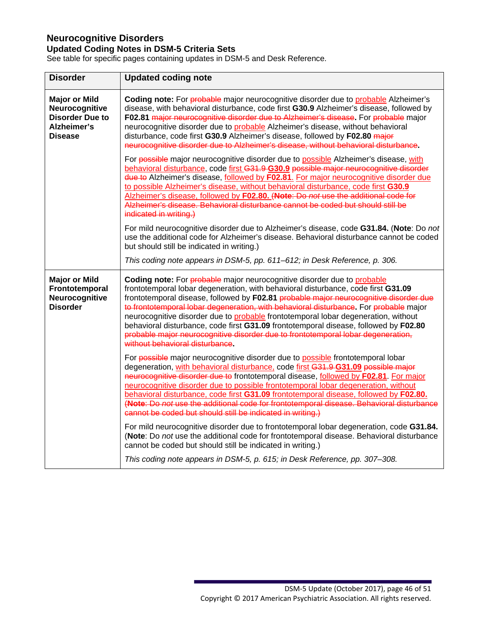## **Neurocognitive Disorders**

## **Updated Coding Notes in DSM-5 Criteria Sets**

See table for specific pages containing updates in DSM-5 and Desk Reference.

| <b>Disorder</b>                                                                                   | <b>Updated coding note</b>                                                                                                                                                                                                                                                                                                                                                                                                                                                                                                                                                                                                                                        |
|---------------------------------------------------------------------------------------------------|-------------------------------------------------------------------------------------------------------------------------------------------------------------------------------------------------------------------------------------------------------------------------------------------------------------------------------------------------------------------------------------------------------------------------------------------------------------------------------------------------------------------------------------------------------------------------------------------------------------------------------------------------------------------|
| <b>Major or Mild</b><br>Neurocognitive<br><b>Disorder Due to</b><br>Alzheimer's<br><b>Disease</b> | Coding note: For probable major neurocognitive disorder due to probable Alzheimer's<br>disease, with behavioral disturbance, code first G30.9 Alzheimer's disease, followed by<br>F02.81 major neurocognitive disorder due to Alzheimer's disease. For probable major<br>neurocognitive disorder due to probable Alzheimer's disease, without behavioral<br>disturbance, code first G30.9 Alzheimer's disease, followed by F02.80 major<br>neurocognitive disorder due to Alzheimer's disease, without behavioral disturbance.                                                                                                                                    |
|                                                                                                   | For possible major neurocognitive disorder due to possible Alzheimer's disease, with<br>behavioral disturbance, code first G31.9 G30.9 possible major neurocognitive disorder<br>due to Alzheimer's disease, followed by F02.81. For major neurocognitive disorder due<br>to possible Alzheimer's disease, without behavioral disturbance, code first G30.9<br>Alzheimer's disease, followed by F02.80. (Note: Do not use the additional code for<br>Alzheimer's disease. Behavioral disturbance cannot be coded but should still be<br>indicated in writing.)                                                                                                    |
|                                                                                                   | For mild neurocognitive disorder due to Alzheimer's disease, code G31.84. (Note: Do not<br>use the additional code for Alzheimer's disease. Behavioral disturbance cannot be coded<br>but should still be indicated in writing.)                                                                                                                                                                                                                                                                                                                                                                                                                                  |
|                                                                                                   | This coding note appears in DSM-5, pp. 611–612; in Desk Reference, p. 306.                                                                                                                                                                                                                                                                                                                                                                                                                                                                                                                                                                                        |
| <b>Major or Mild</b><br>Frontotemporal<br>Neurocognitive<br><b>Disorder</b>                       | Coding note: For <b>probable</b> major neurocognitive disorder due to <i>probable</i><br>frontotemporal lobar degeneration, with behavioral disturbance, code first G31.09<br>frontotemporal disease, followed by F02.81 probable major neurocognitive disorder due<br>to frontotemporal lobar degeneration, with behavioral disturbance. For probable major<br>neurocognitive disorder due to probable frontotemporal lobar degeneration, without<br>behavioral disturbance, code first G31.09 frontotemporal disease, followed by F02.80<br>probable major neurocognitive disorder due to frontotemporal lobar degeneration,<br>without behavioral disturbance. |
|                                                                                                   | For possible major neurocognitive disorder due to possible frontotemporal lobar<br>degeneration, with behavioral disturbance, code first G31.9-G31.09 possible major<br>neurocognitive disorder due to frontotemporal disease, followed by F02.81. For major<br>neurocognitive disorder due to possible frontotemporal lobar degeneration, without<br>behavioral disturbance, code first G31.09 frontotemporal disease, followed by F02.80.<br>(Note: Do not use the additional code for frontotemporal disease. Behavioral disturbance<br>cannot be coded but should still be indicated in writing.)                                                             |
|                                                                                                   | For mild neurocognitive disorder due to frontotemporal lobar degeneration, code G31.84.<br>(Note: Do not use the additional code for frontotemporal disease. Behavioral disturbance<br>cannot be coded but should still be indicated in writing.)                                                                                                                                                                                                                                                                                                                                                                                                                 |
|                                                                                                   | This coding note appears in DSM-5, p. 615; in Desk Reference, pp. 307-308.                                                                                                                                                                                                                                                                                                                                                                                                                                                                                                                                                                                        |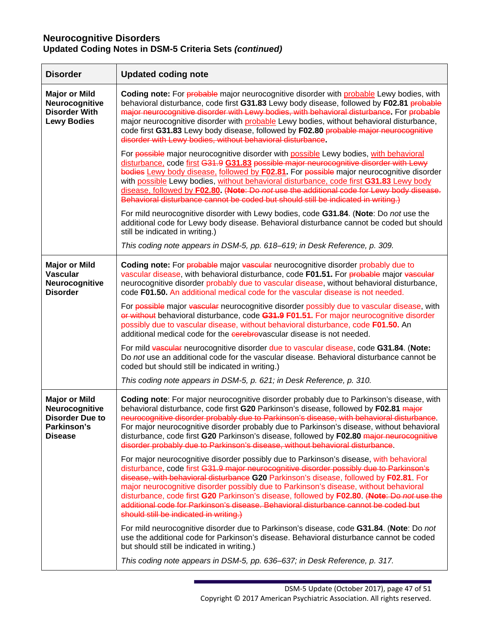## **Neurocognitive Disorders Updated Coding Notes in DSM-5 Criteria Sets** *(continued)*

| <b>Disorder</b>                                                                                   | <b>Updated coding note</b>                                                                                                                                                                                                                                                                                                                                                                                                                                                                                                                                                                         |
|---------------------------------------------------------------------------------------------------|----------------------------------------------------------------------------------------------------------------------------------------------------------------------------------------------------------------------------------------------------------------------------------------------------------------------------------------------------------------------------------------------------------------------------------------------------------------------------------------------------------------------------------------------------------------------------------------------------|
| <b>Major or Mild</b><br>Neurocognitive<br><b>Disorder With</b><br><b>Lewy Bodies</b>              | Coding note: For probable major neurocognitive disorder with probable Lewy bodies, with<br>behavioral disturbance, code first G31.83 Lewy body disease, followed by F02.81 probable<br>major neurocognitive disorder with Lewy bodies, with behavioral disturbance. For probable<br>major neurocognitive disorder with probable Lewy bodies, without behavioral disturbance,<br>code first G31.83 Lewy body disease, followed by F02.80 probable major neurocognitive<br>disorder with Lewy bodies, without behavioral disturbance.                                                                |
|                                                                                                   | For possible major neurocognitive disorder with possible Lewy bodies, with behavioral<br>disturbance, code first G31.9 G31.83 possible major neurocognitive disorder with Lewy<br>bodies Lewy body disease, followed by F02.81. For possible major neurocognitive disorder<br>with possible Lewy bodies, without behavioral disturbance, code first G31.83 Lewy body<br>disease, followed by F02.80. (Note: Do not use the additional code for Lewy body disease.<br>Behavioral disturbance cannot be coded but should still be indicated in writing.)                                             |
|                                                                                                   | For mild neurocognitive disorder with Lewy bodies, code G31.84. (Note: Do not use the<br>additional code for Lewy body disease. Behavioral disturbance cannot be coded but should<br>still be indicated in writing.)                                                                                                                                                                                                                                                                                                                                                                               |
|                                                                                                   | This coding note appears in DSM-5, pp. 618–619; in Desk Reference, p. 309.                                                                                                                                                                                                                                                                                                                                                                                                                                                                                                                         |
| <b>Major or Mild</b><br><b>Vascular</b><br>Neurocognitive<br><b>Disorder</b>                      | Coding note: For probable major vascular neurocognitive disorder probably due to<br>vascular disease, with behavioral disturbance, code F01.51. For probable major vascular<br>neurocognitive disorder probably due to vascular disease, without behavioral disturbance,<br>code F01.50. An additional medical code for the vascular disease is not needed.                                                                                                                                                                                                                                        |
|                                                                                                   | For possible major vascular neurocognitive disorder possibly due to vascular disease, with<br>or without behavioral disturbance, code G31.9 F01.51. For major neurocognitive disorder<br>possibly due to vascular disease, without behavioral disturbance, code F01.50. An<br>additional medical code for the <b>cerebrovascular</b> disease is not needed.                                                                                                                                                                                                                                        |
|                                                                                                   | For mild vascular neurocognitive disorder due to vascular disease, code G31.84. (Note:<br>Do not use an additional code for the vascular disease. Behavioral disturbance cannot be<br>coded but should still be indicated in writing.)                                                                                                                                                                                                                                                                                                                                                             |
|                                                                                                   | This coding note appears in DSM-5, p. 621; in Desk Reference, p. 310.                                                                                                                                                                                                                                                                                                                                                                                                                                                                                                                              |
| <b>Major or Mild</b><br>Neurocognitive<br><b>Disorder Due to</b><br>Parkinson's<br><b>Disease</b> | Coding note: For major neurocognitive disorder probably due to Parkinson's disease, with<br>behavioral disturbance, code first G20 Parkinson's disease, followed by F02.81 major<br>neurocognitive disorder probably due to Parkinson's disease, with behavioral disturbance.<br>For major neurocognitive disorder probably due to Parkinson's disease, without behavioral<br>disturbance, code first G20 Parkinson's disease, followed by F02.80 major neurocognitive<br>disorder probably due to Parkinson's disease, without behavioral disturbance.                                            |
|                                                                                                   | For major neurocognitive disorder possibly due to Parkinson's disease, with behavioral<br>disturbance, code first G31.9 major neurocognitive disorder possibly due to Parkinson's<br>disease, with behavioral disturbance G20 Parkinson's disease, followed by F02.81. For<br>major neurocognitive disorder possibly due to Parkinson's disease, without behavioral<br>disturbance, code first G20 Parkinson's disease, followed by F02.80. (Note: Do not use the<br>additional code for Parkinson's disease. Behavioral disturbance cannot be coded but<br>should still be indicated in writing.) |
|                                                                                                   | For mild neurocognitive disorder due to Parkinson's disease, code G31.84. (Note: Do not<br>use the additional code for Parkinson's disease. Behavioral disturbance cannot be coded<br>but should still be indicated in writing.)                                                                                                                                                                                                                                                                                                                                                                   |
|                                                                                                   | This coding note appears in DSM-5, pp. 636–637; in Desk Reference, p. 317.                                                                                                                                                                                                                                                                                                                                                                                                                                                                                                                         |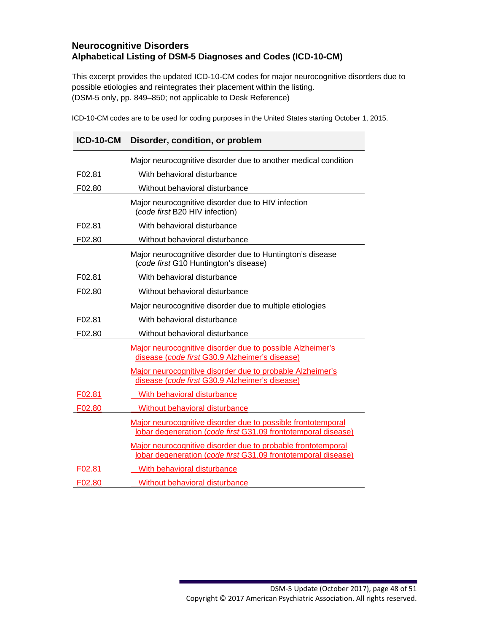## **Neurocognitive Disorders Alphabetical Listing of DSM-5 Diagnoses and Codes (ICD-10-CM)**

This excerpt provides the updated ICD-10-CM codes for major neurocognitive disorders due to possible etiologies and reintegrates their placement within the listing. (DSM-5 only, pp. 849–850; not applicable to Desk Reference)

ICD-10-CM codes are to be used for coding purposes in the United States starting October 1, 2015.

| <b>ICD-10-CM</b> | Disorder, condition, or problem                                                                                               |  |  |
|------------------|-------------------------------------------------------------------------------------------------------------------------------|--|--|
|                  | Major neurocognitive disorder due to another medical condition                                                                |  |  |
| F02.81           | With behavioral disturbance                                                                                                   |  |  |
| F02.80           | Without behavioral disturbance                                                                                                |  |  |
|                  | Major neurocognitive disorder due to HIV infection<br>(code first B20 HIV infection)                                          |  |  |
| F02.81           | With behavioral disturbance                                                                                                   |  |  |
| F02.80           | Without behavioral disturbance                                                                                                |  |  |
|                  | Major neurocognitive disorder due to Huntington's disease<br>(code first G10 Huntington's disease)                            |  |  |
| F02.81           | With behavioral disturbance                                                                                                   |  |  |
| F02.80           | Without behavioral disturbance                                                                                                |  |  |
|                  | Major neurocognitive disorder due to multiple etiologies                                                                      |  |  |
| F02.81           | With behavioral disturbance                                                                                                   |  |  |
| F02.80           | Without behavioral disturbance                                                                                                |  |  |
|                  | Major neurocognitive disorder due to possible Alzheimer's<br>disease (code first G30.9 Alzheimer's disease)                   |  |  |
|                  | Major neurocognitive disorder due to probable Alzheimer's<br>disease (code first G30.9 Alzheimer's disease)                   |  |  |
| F02.81           | With behavioral disturbance                                                                                                   |  |  |
| F02.80           | Without behavioral disturbance                                                                                                |  |  |
|                  | Major neurocognitive disorder due to possible frontotemporal<br>lobar degeneration (code first G31.09 frontotemporal disease) |  |  |
|                  | Major neurocognitive disorder due to probable frontotemporal<br>lobar degeneration (code first G31.09 frontotemporal disease) |  |  |
| F02.81           | With behavioral disturbance                                                                                                   |  |  |
| F02.80           | Without behavioral disturbance                                                                                                |  |  |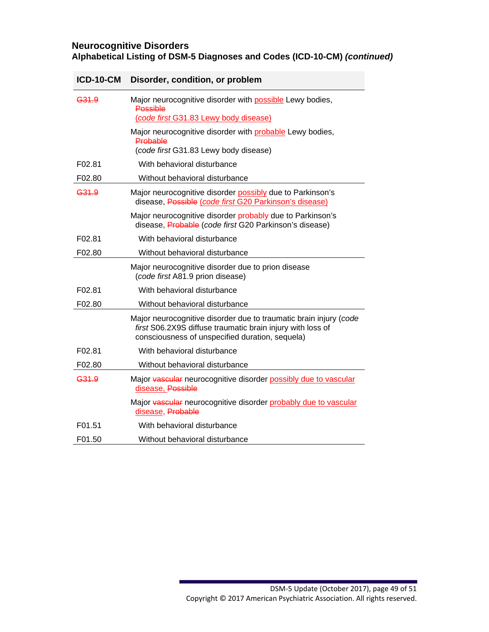## **Neurocognitive Disorders Alphabetical Listing of DSM-5 Diagnoses and Codes (ICD-10-CM)** *(continued)*

| <b>ICD-10-CM</b>   | Disorder, condition, or problem                                                                                                                                                    |
|--------------------|------------------------------------------------------------------------------------------------------------------------------------------------------------------------------------|
| <del>G31.9</del>   | Major neurocognitive disorder with possible Lewy bodies,<br>Possible<br>(code first G31.83 Lewy body disease)                                                                      |
|                    | Major neurocognitive disorder with <b>probable</b> Lewy bodies,<br>Probable<br>(code first G31.83 Lewy body disease)                                                               |
| F <sub>02.81</sub> | With behavioral disturbance                                                                                                                                                        |
| F02.80             | Without behavioral disturbance                                                                                                                                                     |
| G31.9              | Major neurocognitive disorder possibly due to Parkinson's<br>disease, Possible (code first G20 Parkinson's disease)                                                                |
|                    | Major neurocognitive disorder probably due to Parkinson's<br>disease, Probable (code first G20 Parkinson's disease)                                                                |
| F02.81             | With behavioral disturbance                                                                                                                                                        |
| F02.80             | Without behavioral disturbance                                                                                                                                                     |
|                    | Major neurocognitive disorder due to prion disease<br>(code first A81.9 prion disease)                                                                                             |
| F02.81             | With behavioral disturbance                                                                                                                                                        |
| F02.80             | Without behavioral disturbance                                                                                                                                                     |
|                    | Major neurocognitive disorder due to traumatic brain injury (code<br>first S06.2X9S diffuse traumatic brain injury with loss of<br>consciousness of unspecified duration, sequela) |
| F <sub>02.81</sub> | With behavioral disturbance                                                                                                                                                        |
| F02.80             | Without behavioral disturbance                                                                                                                                                     |
| G31.9              | Major vascular neurocognitive disorder possibly due to vascular<br>disease, Possible                                                                                               |
|                    | Major vascular neurocognitive disorder probably due to vascular<br>disease, Probable                                                                                               |
| F01.51             | With behavioral disturbance                                                                                                                                                        |
| F01.50             | Without behavioral disturbance                                                                                                                                                     |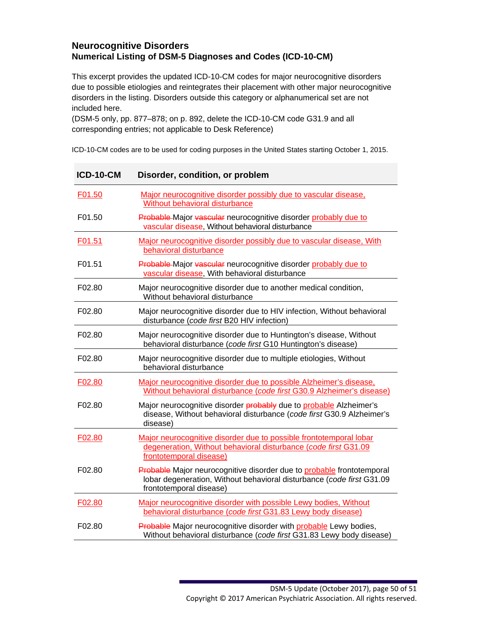## **Neurocognitive Disorders Numerical Listing of DSM-5 Diagnoses and Codes (ICD-10-CM)**

This excerpt provides the updated ICD-10-CM codes for major neurocognitive disorders due to possible etiologies and reintegrates their placement with other major neurocognitive disorders in the listing. Disorders outside this category or alphanumerical set are not included here.

(DSM-5 only, pp. 877–878; on p. 892, delete the ICD-10-CM code G31.9 and all corresponding entries; not applicable to Desk Reference)

ICD-10-CM codes are to be used for coding purposes in the United States starting October 1, 2015.

| <b>ICD-10-CM</b> | Disorder, condition, or problem                                                                                                                                           |
|------------------|---------------------------------------------------------------------------------------------------------------------------------------------------------------------------|
| F01.50           | Major neurocognitive disorder possibly due to vascular disease,<br>Without behavioral disturbance                                                                         |
| F01.50           | Probable-Major vascular neurocognitive disorder probably due to<br>vascular disease, Without behavioral disturbance                                                       |
| F01.51           | Major neurocognitive disorder possibly due to vascular disease, With<br>behavioral disturbance                                                                            |
| F01.51           | Probable-Major vascular neurocognitive disorder probably due to<br>vascular disease, With behavioral disturbance                                                          |
| F02.80           | Major neurocognitive disorder due to another medical condition,<br>Without behavioral disturbance                                                                         |
| F02.80           | Major neurocognitive disorder due to HIV infection, Without behavioral<br>disturbance (code first B20 HIV infection)                                                      |
| F02.80           | Major neurocognitive disorder due to Huntington's disease, Without<br>behavioral disturbance (code first G10 Huntington's disease)                                        |
| F02.80           | Major neurocognitive disorder due to multiple etiologies, Without<br>behavioral disturbance                                                                               |
| F02.80           | Major neurocognitive disorder due to possible Alzheimer's disease.<br>Without behavioral disturbance (code first G30.9 Alzheimer's disease)                               |
| F02.80           | Major neurocognitive disorder <b>probably</b> due to probable Alzheimer's<br>disease, Without behavioral disturbance (code first G30.9 Alzheimer's<br>disease)            |
| F02.80           | Major neurocognitive disorder due to possible frontotemporal lobar<br>degeneration, Without behavioral disturbance (code first G31.09<br>frontotemporal disease)          |
| F02.80           | Probable Major neurocognitive disorder due to probable frontotemporal<br>lobar degeneration, Without behavioral disturbance (code first G31.09<br>frontotemporal disease) |
| F02.80           | Major neurocognitive disorder with possible Lewy bodies, Without<br>behavioral disturbance (code first G31.83 Lewy body disease)                                          |
| F02.80           | Probable Major neurocognitive disorder with probable Lewy bodies,<br>Without behavioral disturbance (code first G31.83 Lewy body disease)                                 |